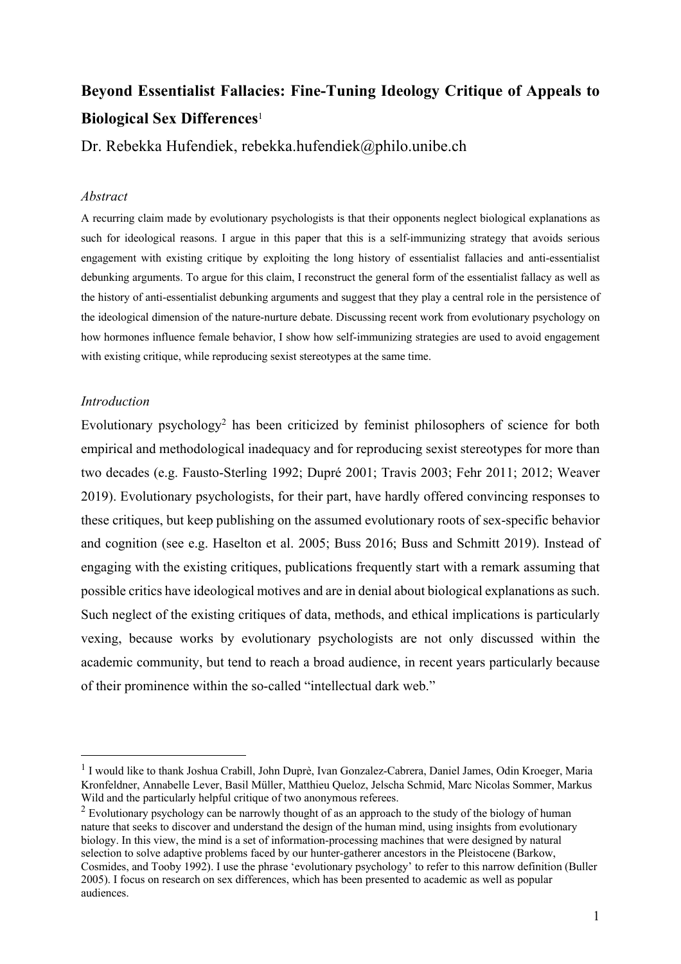# **Beyond Essentialist Fallacies: Fine-Tuning Ideology Critique of Appeals to Biological Sex Differences**<sup>1</sup>

Dr. Rebekka Hufendiek, rebekka.hufendiek@philo.unibe.ch

# *Abstract*

A recurring claim made by evolutionary psychologists is that their opponents neglect biological explanations as such for ideological reasons. I argue in this paper that this is a self-immunizing strategy that avoids serious engagement with existing critique by exploiting the long history of essentialist fallacies and anti-essentialist debunking arguments. To argue for this claim, I reconstruct the general form of the essentialist fallacy as well as the history of anti-essentialist debunking arguments and suggest that they play a central role in the persistence of the ideological dimension of the nature-nurture debate. Discussing recent work from evolutionary psychology on how hormones influence female behavior, I show how self-immunizing strategies are used to avoid engagement with existing critique, while reproducing sexist stereotypes at the same time.

## *Introduction*

Evolutionary psychology<sup>2</sup> has been criticized by feminist philosophers of science for both empirical and methodological inadequacy and for reproducing sexist stereotypes for more than two decades (e.g. Fausto-Sterling 1992; Dupré 2001; Travis 2003; Fehr 2011; 2012; Weaver 2019). Evolutionary psychologists, for their part, have hardly offered convincing responses to these critiques, but keep publishing on the assumed evolutionary roots of sex-specific behavior and cognition (see e.g. Haselton et al. 2005; Buss 2016; Buss and Schmitt 2019). Instead of engaging with the existing critiques, publications frequently start with a remark assuming that possible critics have ideological motives and are in denial about biological explanations as such. Such neglect of the existing critiques of data, methods, and ethical implications is particularly vexing, because works by evolutionary psychologists are not only discussed within the academic community, but tend to reach a broad audience, in recent years particularly because of their prominence within the so-called "intellectual dark web."

<sup>&</sup>lt;sup>1</sup> I would like to thank Joshua Crabill, John Duprè, Ivan Gonzalez-Cabrera, Daniel James, Odin Kroeger, Maria Kronfeldner, Annabelle Lever, Basil Müller, Matthieu Queloz, Jelscha Schmid, Marc Nicolas Sommer, Markus Wild and the particularly helpful critique of two anonymous referees.

<sup>&</sup>lt;sup>2</sup> Evolutionary psychology can be narrowly thought of as an approach to the study of the biology of human nature that seeks to discover and understand the design of the human mind, using insights from evolutionary biology. In this view, the mind is a set of information-processing machines that were designed by natural selection to solve adaptive problems faced by our hunter-gatherer ancestors in the Pleistocene (Barkow, Cosmides, and Tooby 1992). I use the phrase 'evolutionary psychology' to refer to this narrow definition (Buller 2005). I focus on research on sex differences, which has been presented to academic as well as popular audiences.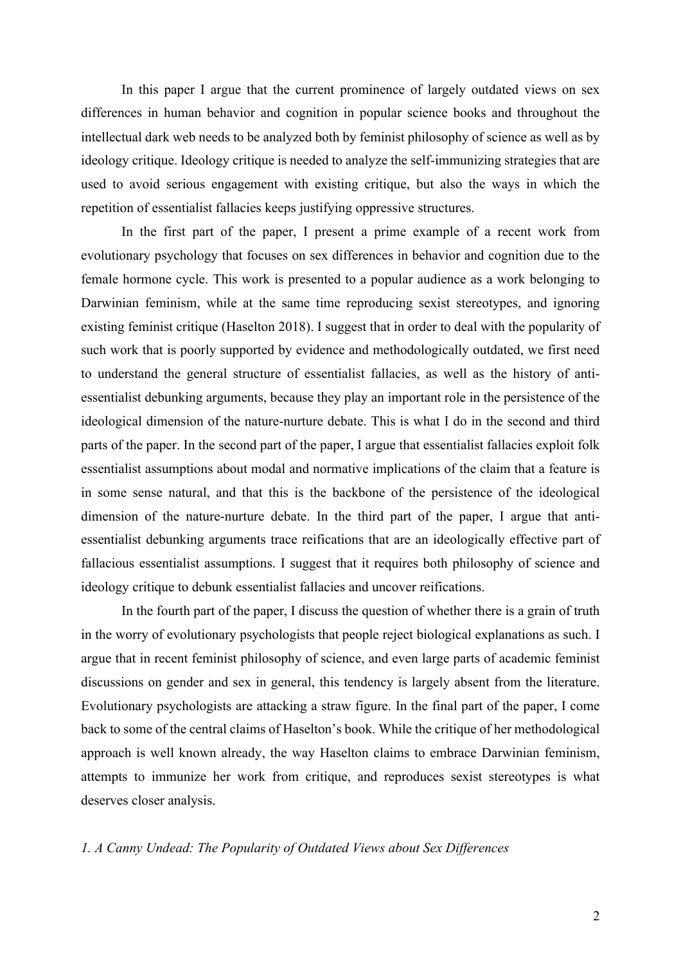In this paper I argue that the current prominence of largely outdated views on sex differences in human behavior and cognition in popular science books and throughout the intellectual dark web needs to be analyzed both by feminist philosophy of science as well as by ideology critique. Ideology critique is needed to analyze the self-immunizing strategies that are used to avoid serious engagement with existing critique, but also the ways in which the repetition of essentialist fallacies keeps justifying oppressive structures.

In the first part of the paper, I present a prime example of a recent work from evolutionary psychology that focuses on sex differences in behavior and cognition due to the female hormone cycle. This work is presented to a popular audience as a work belonging to Darwinian feminism, while at the same time reproducing sexist stereotypes, and ignoring existing feminist critique (Haselton 2018). I suggest that in order to deal with the popularity of such work that is poorly supported by evidence and methodologically outdated, we first need to understand the general structure of essentialist fallacies, as well as the history of antiessentialist debunking arguments, because they play an important role in the persistence of the ideological dimension of the nature-nurture debate. This is what I do in the second and third parts of the paper. In the second part of the paper, I argue that essentialist fallacies exploit folk essentialist assumptions about modal and normative implications of the claim that a feature is in some sense natural, and that this is the backbone of the persistence of the ideological dimension of the nature-nurture debate. In the third part of the paper, I argue that antiessentialist debunking arguments trace reifications that are an ideologically effective part of fallacious essentialist assumptions. I suggest that it requires both philosophy of science and ideology critique to debunk essentialist fallacies and uncover reifications.

In the fourth part of the paper, I discuss the question of whether there is a grain of truth in the worry of evolutionary psychologists that people reject biological explanations as such. I argue that in recent feminist philosophy of science, and even large parts of academic feminist discussions on gender and sex in general, this tendency is largely absent from the literature. Evolutionary psychologists are attacking a straw figure. In the final part of the paper, I come back to some of the central claims of Haselton's book. While the critique of her methodological approach is well known already, the way Haselton claims to embrace Darwinian feminism, attempts to immunize her work from critique, and reproduces sexist stereotypes is what deserves closer analysis.

#### *1. A Canny Undead: The Popularity of Outdated Views about Sex Differences*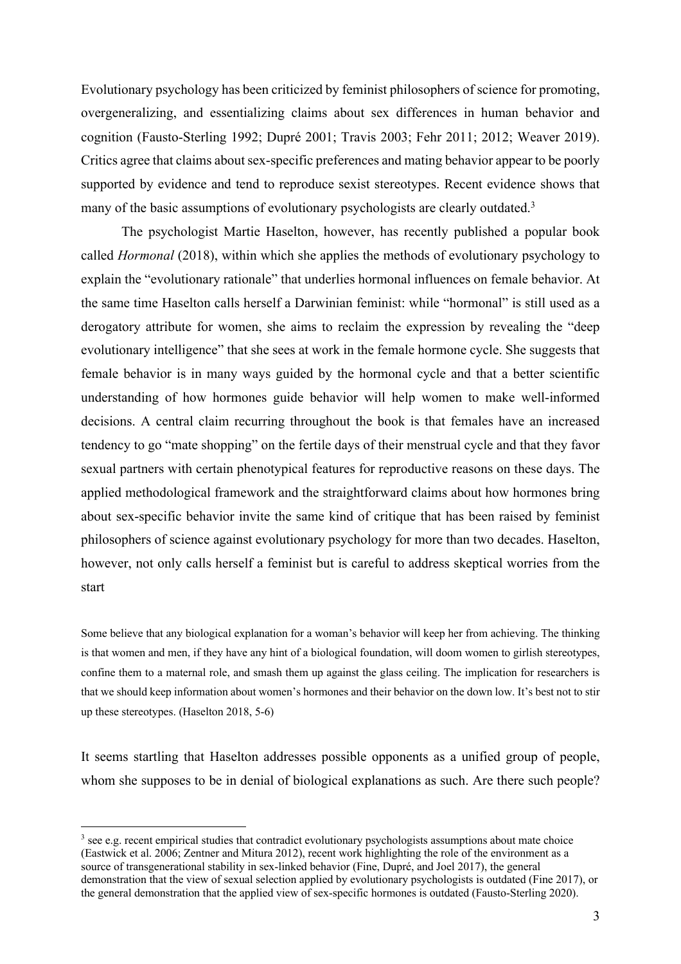Evolutionary psychology has been criticized by feminist philosophers of science for promoting, overgeneralizing, and essentializing claims about sex differences in human behavior and cognition (Fausto-Sterling 1992; Dupré 2001; Travis 2003; Fehr 2011; 2012; Weaver 2019). Critics agree that claims about sex-specific preferences and mating behavior appear to be poorly supported by evidence and tend to reproduce sexist stereotypes. Recent evidence shows that many of the basic assumptions of evolutionary psychologists are clearly outdated.<sup>3</sup>

The psychologist Martie Haselton, however, has recently published a popular book called *Hormonal* (2018), within which she applies the methods of evolutionary psychology to explain the "evolutionary rationale" that underlies hormonal influences on female behavior. At the same time Haselton calls herself a Darwinian feminist: while "hormonal" is still used as a derogatory attribute for women, she aims to reclaim the expression by revealing the "deep evolutionary intelligence" that she sees at work in the female hormone cycle. She suggests that female behavior is in many ways guided by the hormonal cycle and that a better scientific understanding of how hormones guide behavior will help women to make well-informed decisions. A central claim recurring throughout the book is that females have an increased tendency to go "mate shopping" on the fertile days of their menstrual cycle and that they favor sexual partners with certain phenotypical features for reproductive reasons on these days. The applied methodological framework and the straightforward claims about how hormones bring about sex-specific behavior invite the same kind of critique that has been raised by feminist philosophers of science against evolutionary psychology for more than two decades. Haselton, however, not only calls herself a feminist but is careful to address skeptical worries from the start

Some believe that any biological explanation for a woman's behavior will keep her from achieving. The thinking is that women and men, if they have any hint of a biological foundation, will doom women to girlish stereotypes, confine them to a maternal role, and smash them up against the glass ceiling. The implication for researchers is that we should keep information about women's hormones and their behavior on the down low. It's best not to stir up these stereotypes. (Haselton 2018, 5-6)

It seems startling that Haselton addresses possible opponents as a unified group of people, whom she supposes to be in denial of biological explanations as such. Are there such people?

<sup>&</sup>lt;sup>3</sup> see e.g. recent empirical studies that contradict evolutionary psychologists assumptions about mate choice (Eastwick et al. 2006; Zentner and Mitura 2012), recent work highlighting the role of the environment as a source of transgenerational stability in sex-linked behavior (Fine, Dupré, and Joel 2017), the general demonstration that the view of sexual selection applied by evolutionary psychologists is outdated (Fine 2017), or the general demonstration that the applied view of sex-specific hormones is outdated (Fausto-Sterling 2020).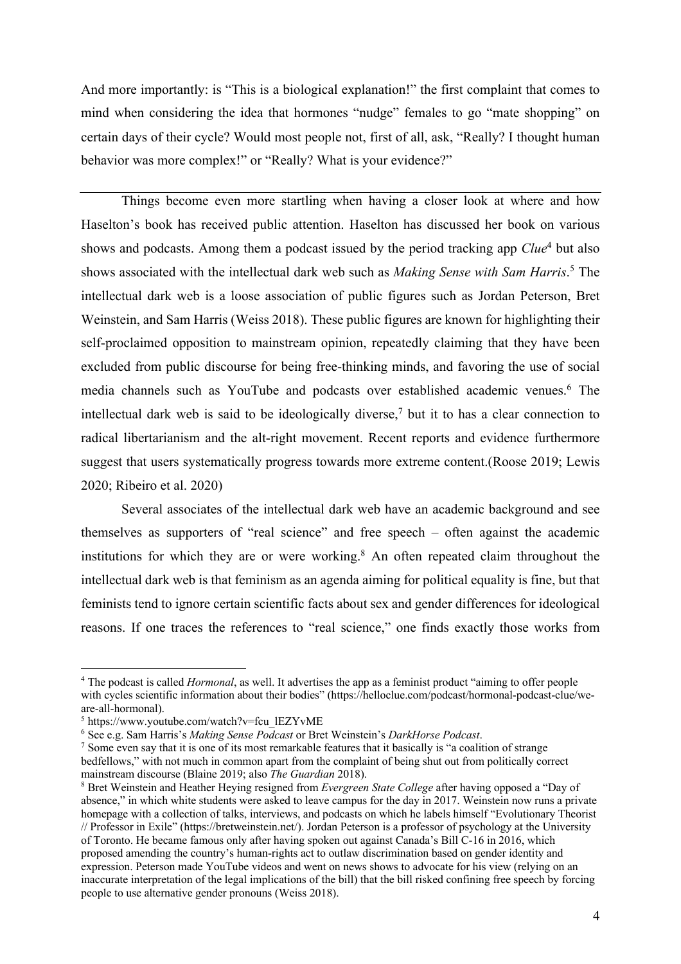And more importantly: is "This is a biological explanation!" the first complaint that comes to mind when considering the idea that hormones "nudge" females to go "mate shopping" on certain days of their cycle? Would most people not, first of all, ask, "Really? I thought human behavior was more complex!" or "Really? What is your evidence?"

Things become even more startling when having a closer look at where and how Haselton's book has received public attention. Haselton has discussed her book on various shows and podcasts. Among them a podcast issued by the period tracking app *Clue*<sup>4</sup> but also shows associated with the intellectual dark web such as *Making Sense with Sam Harris*. <sup>5</sup> The intellectual dark web is a loose association of public figures such as Jordan Peterson, Bret Weinstein, and Sam Harris (Weiss 2018). These public figures are known for highlighting their self-proclaimed opposition to mainstream opinion, repeatedly claiming that they have been excluded from public discourse for being free-thinking minds, and favoring the use of social media channels such as YouTube and podcasts over established academic venues. <sup>6</sup> The intellectual dark web is said to be ideologically diverse,<sup>7</sup> but it to has a clear connection to radical libertarianism and the alt-right movement. Recent reports and evidence furthermore suggest that users systematically progress towards more extreme content.(Roose 2019; Lewis 2020; Ribeiro et al. 2020)

Several associates of the intellectual dark web have an academic background and see themselves as supporters of "real science" and free speech – often against the academic institutions for which they are or were working.<sup>8</sup> An often repeated claim throughout the intellectual dark web is that feminism as an agenda aiming for political equality is fine, but that feminists tend to ignore certain scientific facts about sex and gender differences for ideological reasons. If one traces the references to "real science," one finds exactly those works from

<sup>4</sup> The podcast is called *Hormonal*, as well. It advertises the app as a feminist product "aiming to offer people with cycles scientific information about their bodies" (https://helloclue.com/podcast/hormonal-podcast-clue/weare-all-hormonal).

<sup>5</sup> https://www.youtube.com/watch?v=fcu\_lEZYvME

<sup>6</sup> See e.g. Sam Harris's *Making Sense Podcast* or Bret Weinstein's *DarkHorse Podcast*.

 $<sup>7</sup>$  Some even say that it is one of its most remarkable features that it basically is "a coalition of strange</sup> bedfellows," with not much in common apart from the complaint of being shut out from politically correct mainstream discourse (Blaine 2019; also *The Guardian* 2018).

<sup>8</sup> Bret Weinstein and Heather Heying resigned from *Evergreen State College* after having opposed a "Day of absence," in which white students were asked to leave campus for the day in 2017. Weinstein now runs a private homepage with a collection of talks, interviews, and podcasts on which he labels himself "Evolutionary Theorist // Professor in Exile" (https://bretweinstein.net/). Jordan Peterson is a professor of psychology at the University of Toronto. He became famous only after having spoken out against Canada's Bill C-16 in 2016, which proposed amending the country's human-rights act to outlaw discrimination based on gender identity and expression. Peterson made YouTube videos and went on news shows to advocate for his view (relying on an inaccurate interpretation of the legal implications of the bill) that the bill risked confining free speech by forcing people to use alternative gender pronouns (Weiss 2018).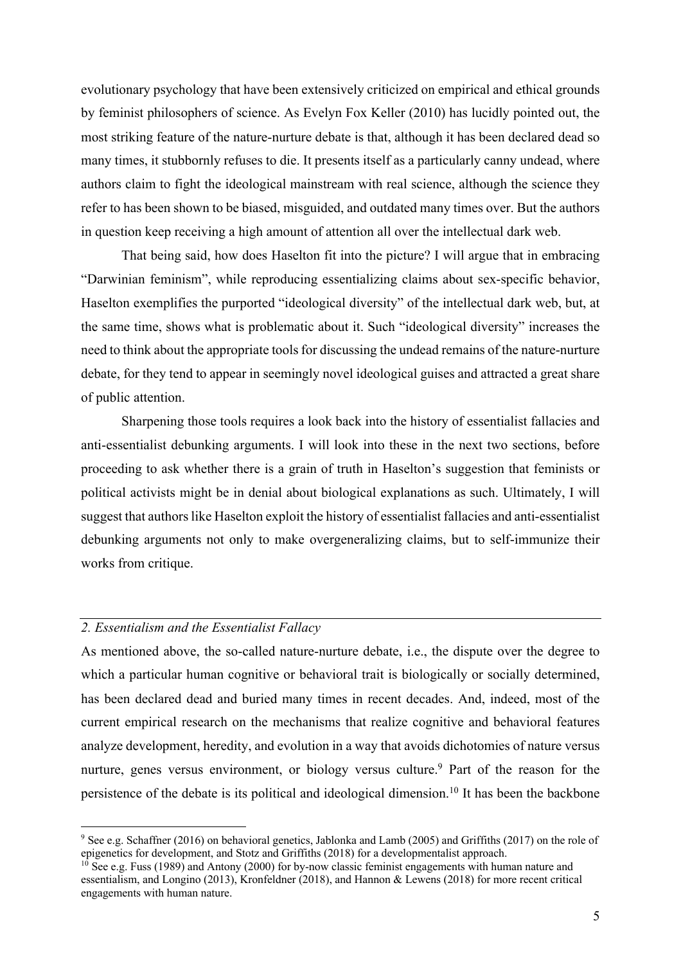evolutionary psychology that have been extensively criticized on empirical and ethical grounds by feminist philosophers of science. As Evelyn Fox Keller (2010) has lucidly pointed out, the most striking feature of the nature-nurture debate is that, although it has been declared dead so many times, it stubbornly refuses to die. It presents itself as a particularly canny undead, where authors claim to fight the ideological mainstream with real science, although the science they refer to has been shown to be biased, misguided, and outdated many times over. But the authors in question keep receiving a high amount of attention all over the intellectual dark web.

That being said, how does Haselton fit into the picture? I will argue that in embracing "Darwinian feminism", while reproducing essentializing claims about sex-specific behavior, Haselton exemplifies the purported "ideological diversity" of the intellectual dark web, but, at the same time, shows what is problematic about it. Such "ideological diversity" increases the need to think about the appropriate tools for discussing the undead remains of the nature-nurture debate, for they tend to appear in seemingly novel ideological guises and attracted a great share of public attention.

Sharpening those tools requires a look back into the history of essentialist fallacies and anti-essentialist debunking arguments. I will look into these in the next two sections, before proceeding to ask whether there is a grain of truth in Haselton's suggestion that feminists or political activists might be in denial about biological explanations as such. Ultimately, I will suggest that authors like Haselton exploit the history of essentialist fallacies and anti-essentialist debunking arguments not only to make overgeneralizing claims, but to self-immunize their works from critique.

# *2. Essentialism and the Essentialist Fallacy*

As mentioned above, the so-called nature-nurture debate, i.e., the dispute over the degree to which a particular human cognitive or behavioral trait is biologically or socially determined, has been declared dead and buried many times in recent decades. And, indeed, most of the current empirical research on the mechanisms that realize cognitive and behavioral features analyze development, heredity, and evolution in a way that avoids dichotomies of nature versus nurture, genes versus environment, or biology versus culture.<sup>9</sup> Part of the reason for the persistence of the debate is its political and ideological dimension.<sup>10</sup> It has been the backbone

<sup>&</sup>lt;sup>9</sup> See e.g. Schaffner (2016) on behavioral genetics, Jablonka and Lamb (2005) and Griffiths (2017) on the role of epigenetics for development, and Stotz and Griffiths (2018) for a developmentalist approach.

 $10$  See e.g. Fuss (1989) and Antony (2000) for by-now classic feminist engagements with human nature and essentialism, and Longino (2013), Kronfeldner (2018), and Hannon & Lewens (2018) for more recent critical engagements with human nature.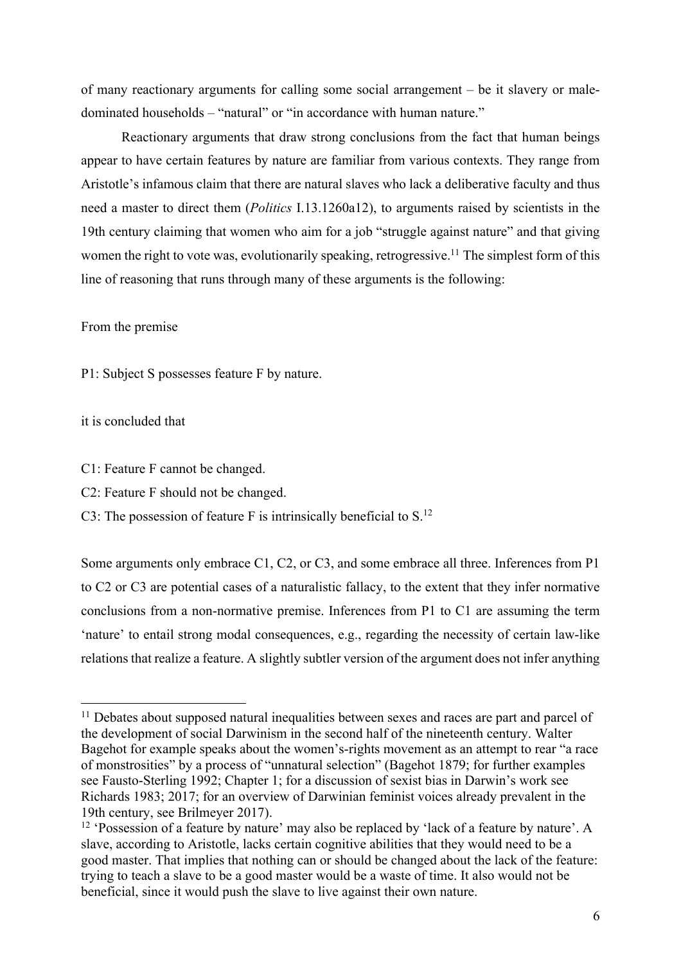of many reactionary arguments for calling some social arrangement – be it slavery or maledominated households – "natural" or "in accordance with human nature."

Reactionary arguments that draw strong conclusions from the fact that human beings appear to have certain features by nature are familiar from various contexts. They range from Aristotle's infamous claim that there are natural slaves who lack a deliberative faculty and thus need a master to direct them (*Politics* I.13.1260a12), to arguments raised by scientists in the 19th century claiming that women who aim for a job "struggle against nature" and that giving women the right to vote was, evolutionarily speaking, retrogressive.<sup>11</sup> The simplest form of this line of reasoning that runs through many of these arguments is the following:

## From the premise

P1: Subject S possesses feature F by nature.

## it is concluded that

- C1: Feature F cannot be changed.
- C2: Feature F should not be changed.

C3: The possession of feature F is intrinsically beneficial to  $S<sup>12</sup>$ 

Some arguments only embrace C1, C2, or C3, and some embrace all three. Inferences from P1 to C2 or C3 are potential cases of a naturalistic fallacy, to the extent that they infer normative conclusions from a non-normative premise. Inferences from P1 to C1 are assuming the term 'nature' to entail strong modal consequences, e.g., regarding the necessity of certain law-like relations that realize a feature. A slightly subtler version of the argument does not infer anything

<sup>&</sup>lt;sup>11</sup> Debates about supposed natural inequalities between sexes and races are part and parcel of the development of social Darwinism in the second half of the nineteenth century. Walter Bagehot for example speaks about the women's-rights movement as an attempt to rear "a race of monstrosities" by a process of "unnatural selection" (Bagehot 1879; for further examples see Fausto-Sterling 1992; Chapter 1; for a discussion of sexist bias in Darwin's work see Richards 1983; 2017; for an overview of Darwinian feminist voices already prevalent in the 19th century, see Brilmeyer 2017).

<sup>&</sup>lt;sup>12</sup> 'Possession of a feature by nature' may also be replaced by 'lack of a feature by nature'. A slave, according to Aristotle, lacks certain cognitive abilities that they would need to be a good master. That implies that nothing can or should be changed about the lack of the feature: trying to teach a slave to be a good master would be a waste of time. It also would not be beneficial, since it would push the slave to live against their own nature.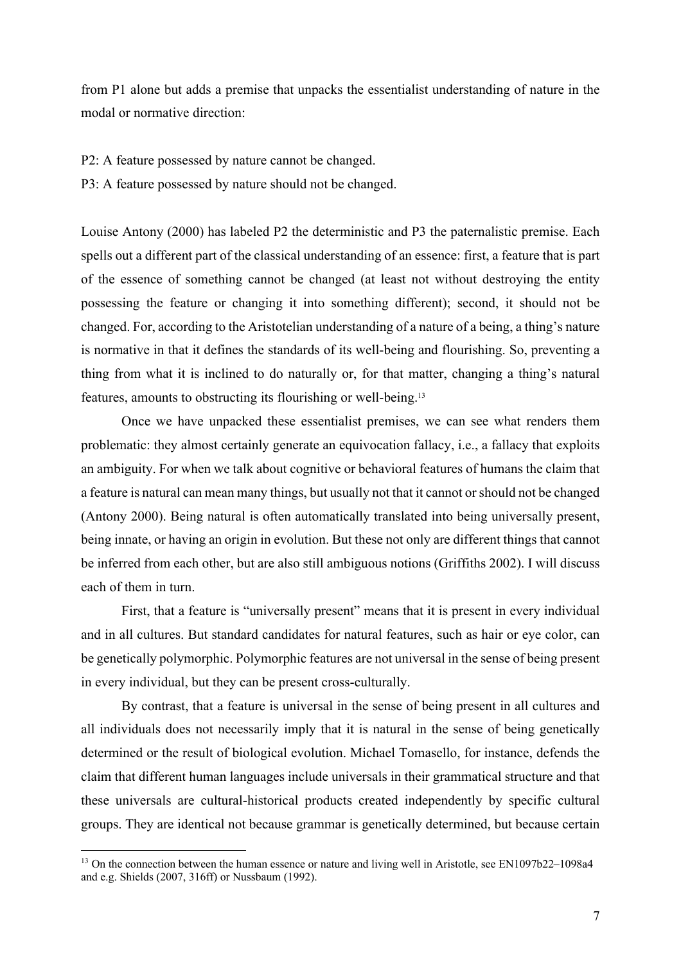from P1 alone but adds a premise that unpacks the essentialist understanding of nature in the modal or normative direction:

- P2: A feature possessed by nature cannot be changed.
- P3: A feature possessed by nature should not be changed.

Louise Antony (2000) has labeled P2 the deterministic and P3 the paternalistic premise. Each spells out a different part of the classical understanding of an essence: first, a feature that is part of the essence of something cannot be changed (at least not without destroying the entity possessing the feature or changing it into something different); second, it should not be changed. For, according to the Aristotelian understanding of a nature of a being, a thing's nature is normative in that it defines the standards of its well-being and flourishing. So, preventing a thing from what it is inclined to do naturally or, for that matter, changing a thing's natural features, amounts to obstructing its flourishing or well-being. 13

Once we have unpacked these essentialist premises, we can see what renders them problematic: they almost certainly generate an equivocation fallacy, i.e., a fallacy that exploits an ambiguity. For when we talk about cognitive or behavioral features of humans the claim that a feature is natural can mean many things, but usually not that it cannot or should not be changed (Antony 2000). Being natural is often automatically translated into being universally present, being innate, or having an origin in evolution. But these not only are different things that cannot be inferred from each other, but are also still ambiguous notions (Griffiths 2002). I will discuss each of them in turn.

First, that a feature is "universally present" means that it is present in every individual and in all cultures. But standard candidates for natural features, such as hair or eye color, can be genetically polymorphic. Polymorphic features are not universal in the sense of being present in every individual, but they can be present cross-culturally.

By contrast, that a feature is universal in the sense of being present in all cultures and all individuals does not necessarily imply that it is natural in the sense of being genetically determined or the result of biological evolution. Michael Tomasello, for instance, defends the claim that different human languages include universals in their grammatical structure and that these universals are cultural-historical products created independently by specific cultural groups. They are identical not because grammar is genetically determined, but because certain

<sup>&</sup>lt;sup>13</sup> On the connection between the human essence or nature and living well in Aristotle, see EN1097b22–1098a4 and e.g. Shields (2007, 316ff) or Nussbaum (1992).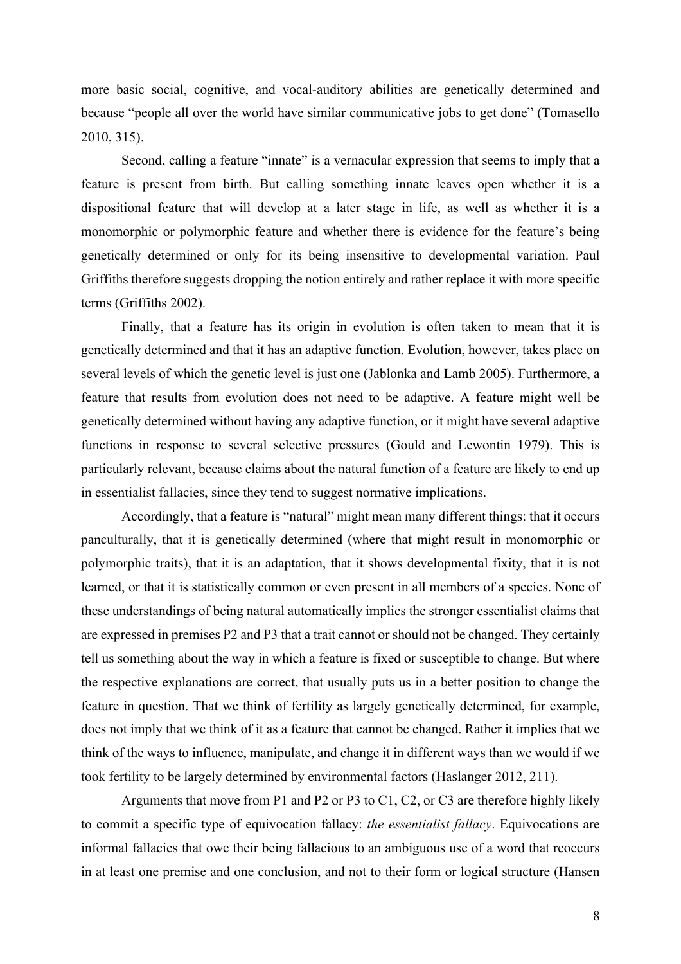more basic social, cognitive, and vocal-auditory abilities are genetically determined and because "people all over the world have similar communicative jobs to get done" (Tomasello 2010, 315).

Second, calling a feature "innate" is a vernacular expression that seems to imply that a feature is present from birth. But calling something innate leaves open whether it is a dispositional feature that will develop at a later stage in life, as well as whether it is a monomorphic or polymorphic feature and whether there is evidence for the feature's being genetically determined or only for its being insensitive to developmental variation. Paul Griffiths therefore suggests dropping the notion entirely and rather replace it with more specific terms (Griffiths 2002).

Finally, that a feature has its origin in evolution is often taken to mean that it is genetically determined and that it has an adaptive function. Evolution, however, takes place on several levels of which the genetic level is just one (Jablonka and Lamb 2005). Furthermore, a feature that results from evolution does not need to be adaptive. A feature might well be genetically determined without having any adaptive function, or it might have several adaptive functions in response to several selective pressures (Gould and Lewontin 1979). This is particularly relevant, because claims about the natural function of a feature are likely to end up in essentialist fallacies, since they tend to suggest normative implications.

Accordingly, that a feature is "natural" might mean many different things: that it occurs panculturally, that it is genetically determined (where that might result in monomorphic or polymorphic traits), that it is an adaptation, that it shows developmental fixity, that it is not learned, or that it is statistically common or even present in all members of a species. None of these understandings of being natural automatically implies the stronger essentialist claims that are expressed in premises P2 and P3 that a trait cannot or should not be changed. They certainly tell us something about the way in which a feature is fixed or susceptible to change. But where the respective explanations are correct, that usually puts us in a better position to change the feature in question. That we think of fertility as largely genetically determined, for example, does not imply that we think of it as a feature that cannot be changed. Rather it implies that we think of the ways to influence, manipulate, and change it in different ways than we would if we took fertility to be largely determined by environmental factors (Haslanger 2012, 211).

Arguments that move from P1 and P2 or P3 to C1, C2, or C3 are therefore highly likely to commit a specific type of equivocation fallacy: *the essentialist fallacy*. Equivocations are informal fallacies that owe their being fallacious to an ambiguous use of a word that reoccurs in at least one premise and one conclusion, and not to their form or logical structure (Hansen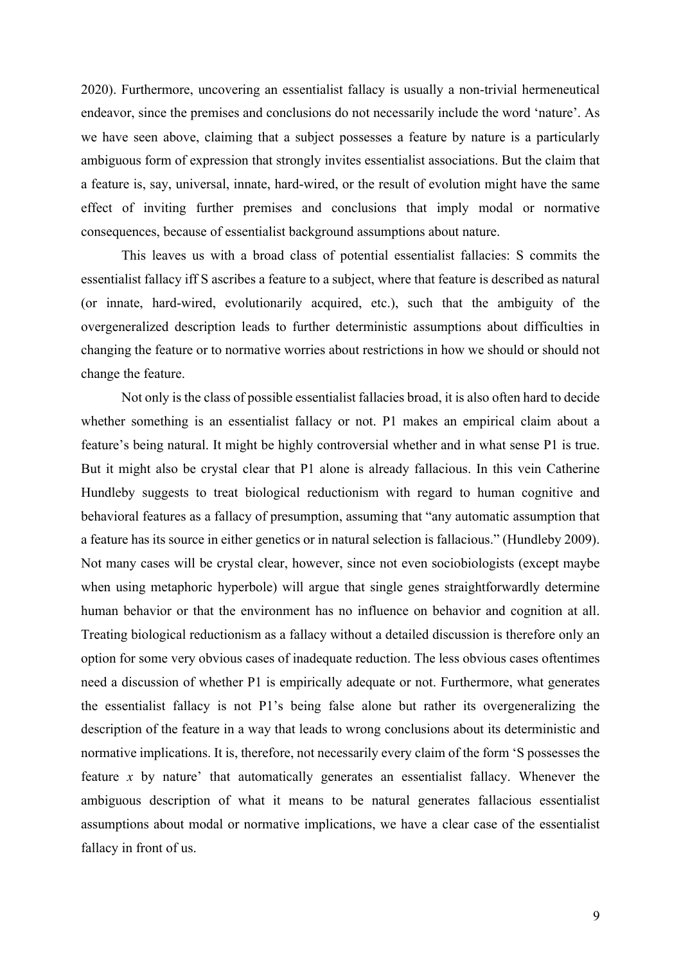2020). Furthermore, uncovering an essentialist fallacy is usually a non-trivial hermeneutical endeavor, since the premises and conclusions do not necessarily include the word 'nature'. As we have seen above, claiming that a subject possesses a feature by nature is a particularly ambiguous form of expression that strongly invites essentialist associations. But the claim that a feature is, say, universal, innate, hard-wired, or the result of evolution might have the same effect of inviting further premises and conclusions that imply modal or normative consequences, because of essentialist background assumptions about nature.

This leaves us with a broad class of potential essentialist fallacies: S commits the essentialist fallacy iff S ascribes a feature to a subject, where that feature is described as natural (or innate, hard-wired, evolutionarily acquired, etc.), such that the ambiguity of the overgeneralized description leads to further deterministic assumptions about difficulties in changing the feature or to normative worries about restrictions in how we should or should not change the feature.

Not only is the class of possible essentialist fallacies broad, it is also often hard to decide whether something is an essentialist fallacy or not. P1 makes an empirical claim about a feature's being natural. It might be highly controversial whether and in what sense P1 is true. But it might also be crystal clear that P1 alone is already fallacious. In this vein Catherine Hundleby suggests to treat biological reductionism with regard to human cognitive and behavioral features as a fallacy of presumption, assuming that "any automatic assumption that a feature has its source in either genetics or in natural selection is fallacious." (Hundleby 2009). Not many cases will be crystal clear, however, since not even sociobiologists (except maybe when using metaphoric hyperbole) will argue that single genes straightforwardly determine human behavior or that the environment has no influence on behavior and cognition at all. Treating biological reductionism as a fallacy without a detailed discussion is therefore only an option for some very obvious cases of inadequate reduction. The less obvious cases oftentimes need a discussion of whether P1 is empirically adequate or not. Furthermore, what generates the essentialist fallacy is not P1's being false alone but rather its overgeneralizing the description of the feature in a way that leads to wrong conclusions about its deterministic and normative implications. It is, therefore, not necessarily every claim of the form 'S possesses the feature *x* by nature' that automatically generates an essentialist fallacy. Whenever the ambiguous description of what it means to be natural generates fallacious essentialist assumptions about modal or normative implications, we have a clear case of the essentialist fallacy in front of us.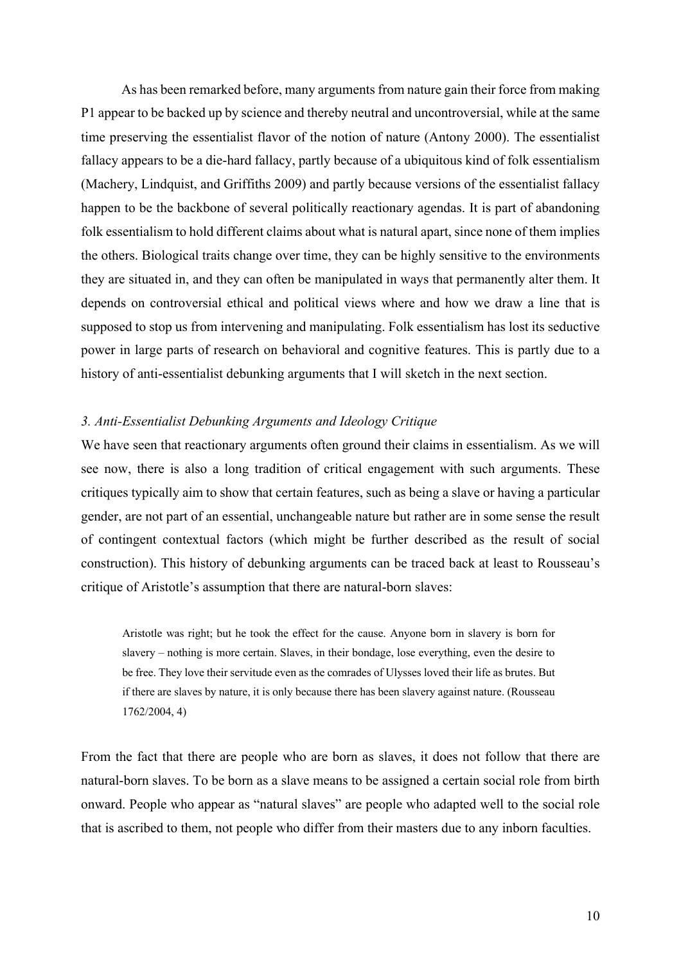As has been remarked before, many arguments from nature gain their force from making P1 appear to be backed up by science and thereby neutral and uncontroversial, while at the same time preserving the essentialist flavor of the notion of nature (Antony 2000). The essentialist fallacy appears to be a die-hard fallacy, partly because of a ubiquitous kind of folk essentialism (Machery, Lindquist, and Griffiths 2009) and partly because versions of the essentialist fallacy happen to be the backbone of several politically reactionary agendas. It is part of abandoning folk essentialism to hold different claims about what is natural apart, since none of them implies the others. Biological traits change over time, they can be highly sensitive to the environments they are situated in, and they can often be manipulated in ways that permanently alter them. It depends on controversial ethical and political views where and how we draw a line that is supposed to stop us from intervening and manipulating. Folk essentialism has lost its seductive power in large parts of research on behavioral and cognitive features. This is partly due to a history of anti-essentialist debunking arguments that I will sketch in the next section.

### *3. Anti-Essentialist Debunking Arguments and Ideology Critique*

We have seen that reactionary arguments often ground their claims in essentialism. As we will see now, there is also a long tradition of critical engagement with such arguments. These critiques typically aim to show that certain features, such as being a slave or having a particular gender, are not part of an essential, unchangeable nature but rather are in some sense the result of contingent contextual factors (which might be further described as the result of social construction). This history of debunking arguments can be traced back at least to Rousseau's critique of Aristotle's assumption that there are natural-born slaves:

Aristotle was right; but he took the effect for the cause. Anyone born in slavery is born for slavery – nothing is more certain. Slaves, in their bondage, lose everything, even the desire to be free. They love their servitude even as the comrades of Ulysses loved their life as brutes. But if there are slaves by nature, it is only because there has been slavery against nature. (Rousseau 1762/2004, 4)

From the fact that there are people who are born as slaves, it does not follow that there are natural-born slaves. To be born as a slave means to be assigned a certain social role from birth onward. People who appear as "natural slaves" are people who adapted well to the social role that is ascribed to them, not people who differ from their masters due to any inborn faculties.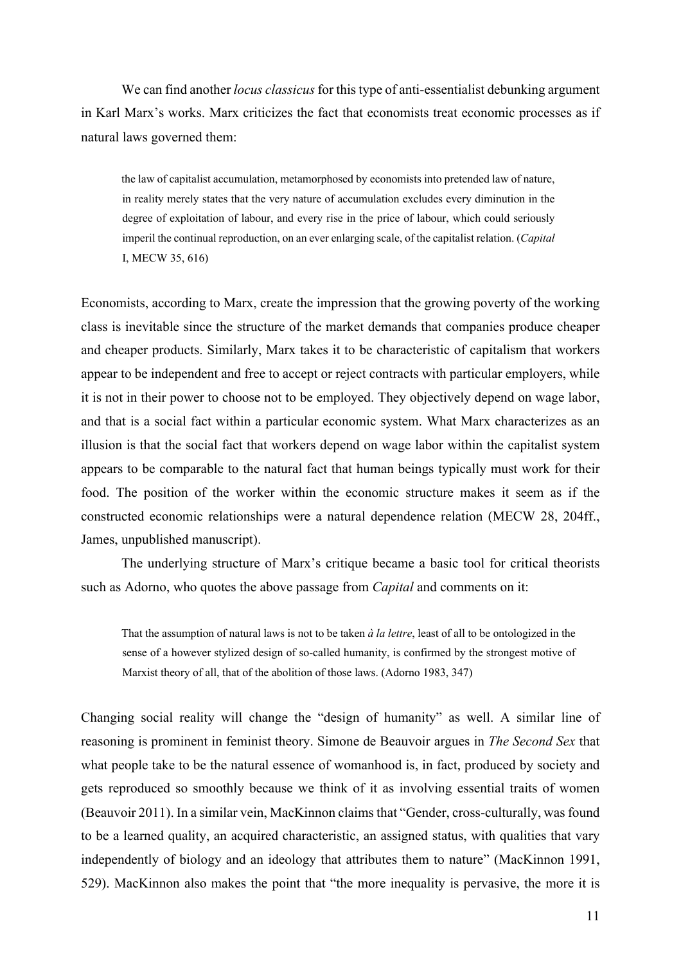We can find another *locus classicus* for this type of anti-essentialist debunking argument in Karl Marx's works. Marx criticizes the fact that economists treat economic processes as if natural laws governed them:

the law of capitalist accumulation, metamorphosed by economists into pretended law of nature, in reality merely states that the very nature of accumulation excludes every diminution in the degree of exploitation of labour, and every rise in the price of labour, which could seriously imperil the continual reproduction, on an ever enlarging scale, of the capitalist relation. (*Capital* I, MECW 35, 616)

Economists, according to Marx, create the impression that the growing poverty of the working class is inevitable since the structure of the market demands that companies produce cheaper and cheaper products. Similarly, Marx takes it to be characteristic of capitalism that workers appear to be independent and free to accept or reject contracts with particular employers, while it is not in their power to choose not to be employed. They objectively depend on wage labor, and that is a social fact within a particular economic system. What Marx characterizes as an illusion is that the social fact that workers depend on wage labor within the capitalist system appears to be comparable to the natural fact that human beings typically must work for their food. The position of the worker within the economic structure makes it seem as if the constructed economic relationships were a natural dependence relation (MECW 28, 204ff., James, unpublished manuscript).

The underlying structure of Marx's critique became a basic tool for critical theorists such as Adorno, who quotes the above passage from *Capital* and comments on it:

That the assumption of natural laws is not to be taken *à la lettre*, least of all to be ontologized in the sense of a however stylized design of so-called humanity, is confirmed by the strongest motive of Marxist theory of all, that of the abolition of those laws. (Adorno 1983, 347)

Changing social reality will change the "design of humanity" as well. A similar line of reasoning is prominent in feminist theory. Simone de Beauvoir argues in *The Second Sex* that what people take to be the natural essence of womanhood is, in fact, produced by society and gets reproduced so smoothly because we think of it as involving essential traits of women (Beauvoir 2011). In a similar vein, MacKinnon claims that "Gender, cross-culturally, was found to be a learned quality, an acquired characteristic, an assigned status, with qualities that vary independently of biology and an ideology that attributes them to nature" (MacKinnon 1991, 529). MacKinnon also makes the point that "the more inequality is pervasive, the more it is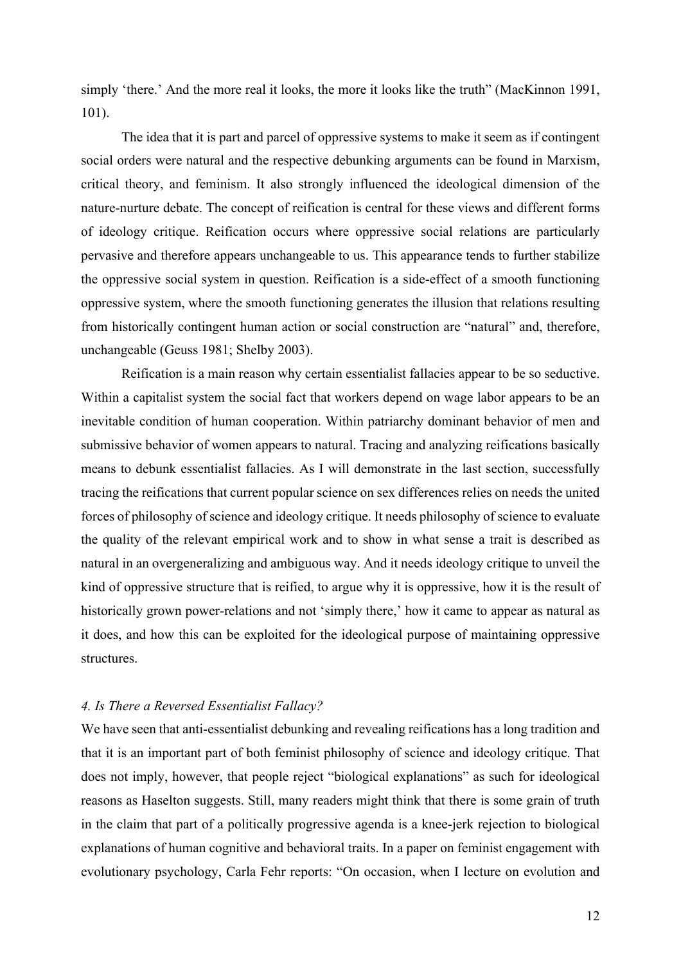simply 'there.' And the more real it looks, the more it looks like the truth" (MacKinnon 1991, 101).

The idea that it is part and parcel of oppressive systems to make it seem as if contingent social orders were natural and the respective debunking arguments can be found in Marxism, critical theory, and feminism. It also strongly influenced the ideological dimension of the nature-nurture debate. The concept of reification is central for these views and different forms of ideology critique. Reification occurs where oppressive social relations are particularly pervasive and therefore appears unchangeable to us. This appearance tends to further stabilize the oppressive social system in question. Reification is a side-effect of a smooth functioning oppressive system, where the smooth functioning generates the illusion that relations resulting from historically contingent human action or social construction are "natural" and, therefore, unchangeable (Geuss 1981; Shelby 2003).

Reification is a main reason why certain essentialist fallacies appear to be so seductive. Within a capitalist system the social fact that workers depend on wage labor appears to be an inevitable condition of human cooperation. Within patriarchy dominant behavior of men and submissive behavior of women appears to natural. Tracing and analyzing reifications basically means to debunk essentialist fallacies. As I will demonstrate in the last section, successfully tracing the reifications that current popular science on sex differences relies on needs the united forces of philosophy of science and ideology critique. It needs philosophy of science to evaluate the quality of the relevant empirical work and to show in what sense a trait is described as natural in an overgeneralizing and ambiguous way. And it needs ideology critique to unveil the kind of oppressive structure that is reified, to argue why it is oppressive, how it is the result of historically grown power-relations and not 'simply there,' how it came to appear as natural as it does, and how this can be exploited for the ideological purpose of maintaining oppressive structures.

## *4. Is There a Reversed Essentialist Fallacy?*

We have seen that anti-essentialist debunking and revealing reifications has a long tradition and that it is an important part of both feminist philosophy of science and ideology critique. That does not imply, however, that people reject "biological explanations" as such for ideological reasons as Haselton suggests. Still, many readers might think that there is some grain of truth in the claim that part of a politically progressive agenda is a knee-jerk rejection to biological explanations of human cognitive and behavioral traits. In a paper on feminist engagement with evolutionary psychology, Carla Fehr reports: "On occasion, when I lecture on evolution and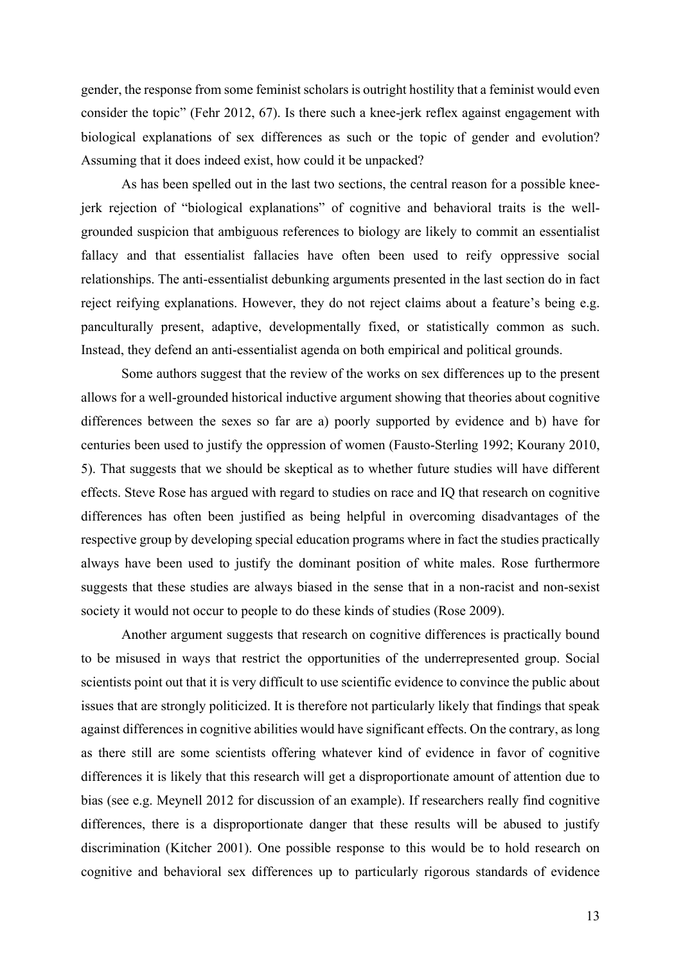gender, the response from some feminist scholars is outright hostility that a feminist would even consider the topic" (Fehr 2012, 67). Is there such a knee-jerk reflex against engagement with biological explanations of sex differences as such or the topic of gender and evolution? Assuming that it does indeed exist, how could it be unpacked?

As has been spelled out in the last two sections, the central reason for a possible kneejerk rejection of "biological explanations" of cognitive and behavioral traits is the wellgrounded suspicion that ambiguous references to biology are likely to commit an essentialist fallacy and that essentialist fallacies have often been used to reify oppressive social relationships. The anti-essentialist debunking arguments presented in the last section do in fact reject reifying explanations. However, they do not reject claims about a feature's being e.g. panculturally present, adaptive, developmentally fixed, or statistically common as such. Instead, they defend an anti-essentialist agenda on both empirical and political grounds.

Some authors suggest that the review of the works on sex differences up to the present allows for a well-grounded historical inductive argument showing that theories about cognitive differences between the sexes so far are a) poorly supported by evidence and b) have for centuries been used to justify the oppression of women (Fausto-Sterling 1992; Kourany 2010, 5). That suggests that we should be skeptical as to whether future studies will have different effects. Steve Rose has argued with regard to studies on race and IQ that research on cognitive differences has often been justified as being helpful in overcoming disadvantages of the respective group by developing special education programs where in fact the studies practically always have been used to justify the dominant position of white males. Rose furthermore suggests that these studies are always biased in the sense that in a non-racist and non-sexist society it would not occur to people to do these kinds of studies (Rose 2009).

Another argument suggests that research on cognitive differences is practically bound to be misused in ways that restrict the opportunities of the underrepresented group. Social scientists point out that it is very difficult to use scientific evidence to convince the public about issues that are strongly politicized. It is therefore not particularly likely that findings that speak against differences in cognitive abilities would have significant effects. On the contrary, as long as there still are some scientists offering whatever kind of evidence in favor of cognitive differences it is likely that this research will get a disproportionate amount of attention due to bias (see e.g. Meynell 2012 for discussion of an example). If researchers really find cognitive differences, there is a disproportionate danger that these results will be abused to justify discrimination (Kitcher 2001). One possible response to this would be to hold research on cognitive and behavioral sex differences up to particularly rigorous standards of evidence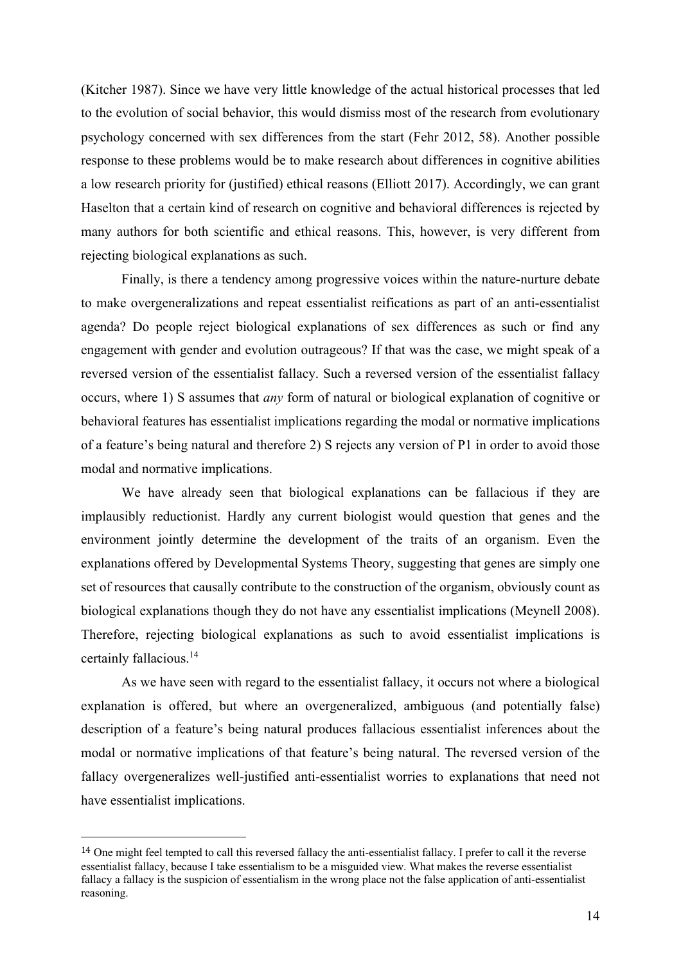(Kitcher 1987). Since we have very little knowledge of the actual historical processes that led to the evolution of social behavior, this would dismiss most of the research from evolutionary psychology concerned with sex differences from the start (Fehr 2012, 58). Another possible response to these problems would be to make research about differences in cognitive abilities a low research priority for (justified) ethical reasons (Elliott 2017). Accordingly, we can grant Haselton that a certain kind of research on cognitive and behavioral differences is rejected by many authors for both scientific and ethical reasons. This, however, is very different from rejecting biological explanations as such.

Finally, is there a tendency among progressive voices within the nature-nurture debate to make overgeneralizations and repeat essentialist reifications as part of an anti-essentialist agenda? Do people reject biological explanations of sex differences as such or find any engagement with gender and evolution outrageous? If that was the case, we might speak of a reversed version of the essentialist fallacy. Such a reversed version of the essentialist fallacy occurs, where 1) S assumes that *any* form of natural or biological explanation of cognitive or behavioral features has essentialist implications regarding the modal or normative implications of a feature's being natural and therefore 2) S rejects any version of P1 in order to avoid those modal and normative implications.

We have already seen that biological explanations can be fallacious if they are implausibly reductionist. Hardly any current biologist would question that genes and the environment jointly determine the development of the traits of an organism. Even the explanations offered by Developmental Systems Theory, suggesting that genes are simply one set of resources that causally contribute to the construction of the organism, obviously count as biological explanations though they do not have any essentialist implications (Meynell 2008). Therefore, rejecting biological explanations as such to avoid essentialist implications is certainly fallacious.14

As we have seen with regard to the essentialist fallacy, it occurs not where a biological explanation is offered, but where an overgeneralized, ambiguous (and potentially false) description of a feature's being natural produces fallacious essentialist inferences about the modal or normative implications of that feature's being natural. The reversed version of the fallacy overgeneralizes well-justified anti-essentialist worries to explanations that need not have essentialist implications.

<sup>&</sup>lt;sup>14</sup> One might feel tempted to call this reversed fallacy the anti-essentialist fallacy. I prefer to call it the reverse essentialist fallacy, because I take essentialism to be a misguided view. What makes the reverse essentialist fallacy a fallacy is the suspicion of essentialism in the wrong place not the false application of anti-essentialist reasoning.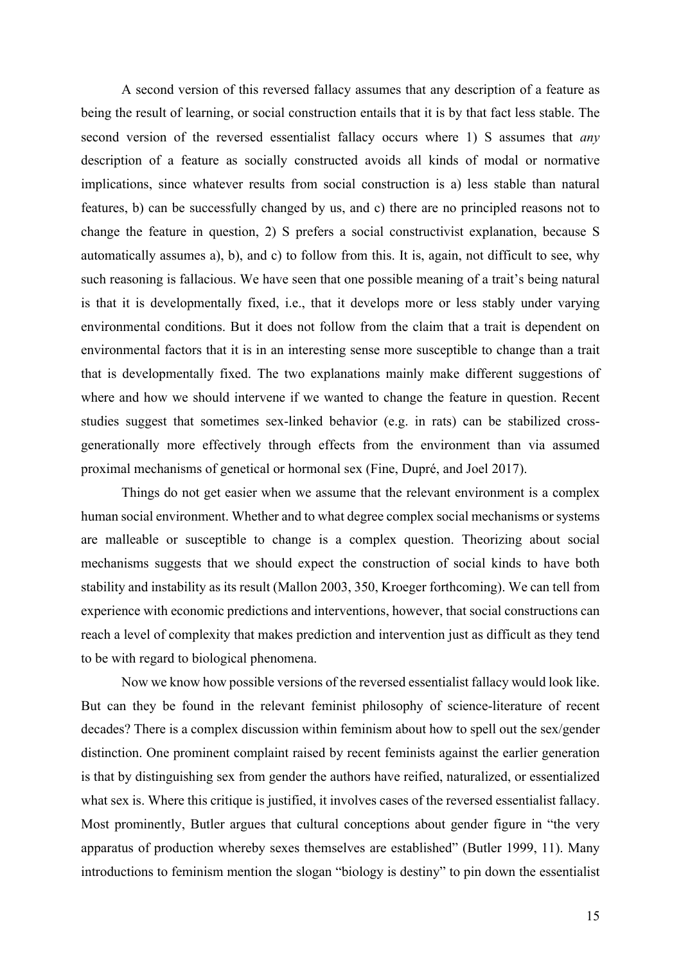A second version of this reversed fallacy assumes that any description of a feature as being the result of learning, or social construction entails that it is by that fact less stable. The second version of the reversed essentialist fallacy occurs where 1) S assumes that *any* description of a feature as socially constructed avoids all kinds of modal or normative implications, since whatever results from social construction is a) less stable than natural features, b) can be successfully changed by us, and c) there are no principled reasons not to change the feature in question, 2) S prefers a social constructivist explanation, because S automatically assumes a), b), and c) to follow from this. It is, again, not difficult to see, why such reasoning is fallacious. We have seen that one possible meaning of a trait's being natural is that it is developmentally fixed, i.e., that it develops more or less stably under varying environmental conditions. But it does not follow from the claim that a trait is dependent on environmental factors that it is in an interesting sense more susceptible to change than a trait that is developmentally fixed. The two explanations mainly make different suggestions of where and how we should intervene if we wanted to change the feature in question. Recent studies suggest that sometimes sex-linked behavior (e.g. in rats) can be stabilized crossgenerationally more effectively through effects from the environment than via assumed proximal mechanisms of genetical or hormonal sex (Fine, Dupré, and Joel 2017).

Things do not get easier when we assume that the relevant environment is a complex human social environment. Whether and to what degree complex social mechanisms or systems are malleable or susceptible to change is a complex question. Theorizing about social mechanisms suggests that we should expect the construction of social kinds to have both stability and instability as its result (Mallon 2003, 350, Kroeger forthcoming). We can tell from experience with economic predictions and interventions, however, that social constructions can reach a level of complexity that makes prediction and intervention just as difficult as they tend to be with regard to biological phenomena.

Now we know how possible versions of the reversed essentialist fallacy would look like. But can they be found in the relevant feminist philosophy of science-literature of recent decades? There is a complex discussion within feminism about how to spell out the sex/gender distinction. One prominent complaint raised by recent feminists against the earlier generation is that by distinguishing sex from gender the authors have reified, naturalized, or essentialized what sex is. Where this critique is justified, it involves cases of the reversed essentialist fallacy. Most prominently, Butler argues that cultural conceptions about gender figure in "the very apparatus of production whereby sexes themselves are established" (Butler 1999, 11). Many introductions to feminism mention the slogan "biology is destiny" to pin down the essentialist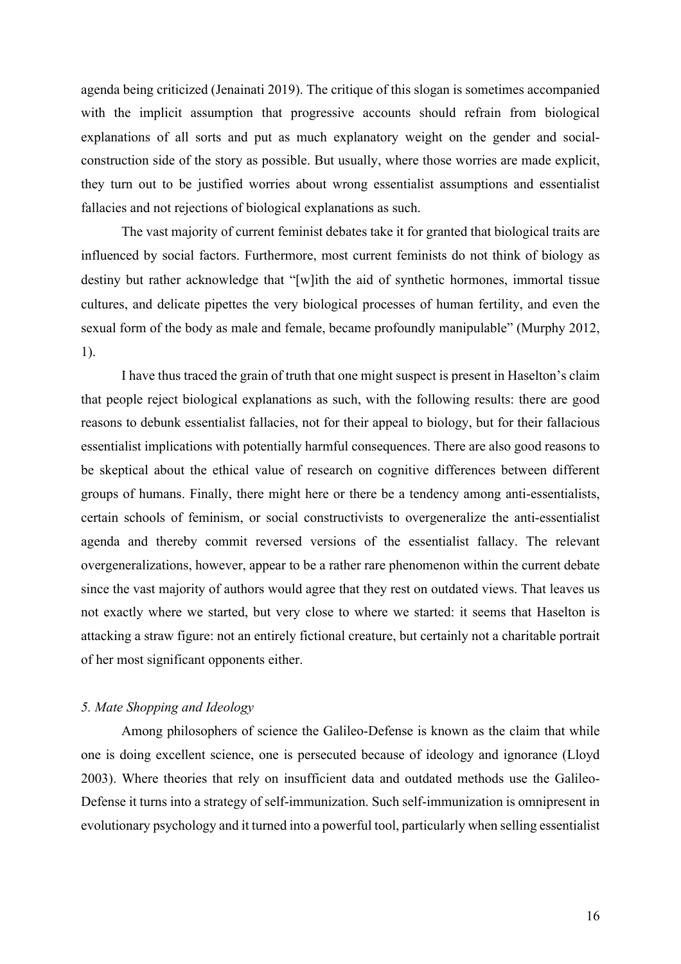agenda being criticized (Jenainati 2019). The critique of this slogan is sometimes accompanied with the implicit assumption that progressive accounts should refrain from biological explanations of all sorts and put as much explanatory weight on the gender and socialconstruction side of the story as possible. But usually, where those worries are made explicit, they turn out to be justified worries about wrong essentialist assumptions and essentialist fallacies and not rejections of biological explanations as such.

The vast majority of current feminist debates take it for granted that biological traits are influenced by social factors. Furthermore, most current feminists do not think of biology as destiny but rather acknowledge that "[w]ith the aid of synthetic hormones, immortal tissue cultures, and delicate pipettes the very biological processes of human fertility, and even the sexual form of the body as male and female, became profoundly manipulable" (Murphy 2012, 1).

I have thus traced the grain of truth that one might suspect is present in Haselton's claim that people reject biological explanations as such, with the following results: there are good reasons to debunk essentialist fallacies, not for their appeal to biology, but for their fallacious essentialist implications with potentially harmful consequences. There are also good reasons to be skeptical about the ethical value of research on cognitive differences between different groups of humans. Finally, there might here or there be a tendency among anti-essentialists, certain schools of feminism, or social constructivists to overgeneralize the anti-essentialist agenda and thereby commit reversed versions of the essentialist fallacy. The relevant overgeneralizations, however, appear to be a rather rare phenomenon within the current debate since the vast majority of authors would agree that they rest on outdated views. That leaves us not exactly where we started, but very close to where we started: it seems that Haselton is attacking a straw figure: not an entirely fictional creature, but certainly not a charitable portrait of her most significant opponents either.

# *5. Mate Shopping and Ideology*

Among philosophers of science the Galileo-Defense is known as the claim that while one is doing excellent science, one is persecuted because of ideology and ignorance (Lloyd 2003). Where theories that rely on insufficient data and outdated methods use the Galileo-Defense it turns into a strategy of self-immunization. Such self-immunization is omnipresent in evolutionary psychology and it turned into a powerful tool, particularly when selling essentialist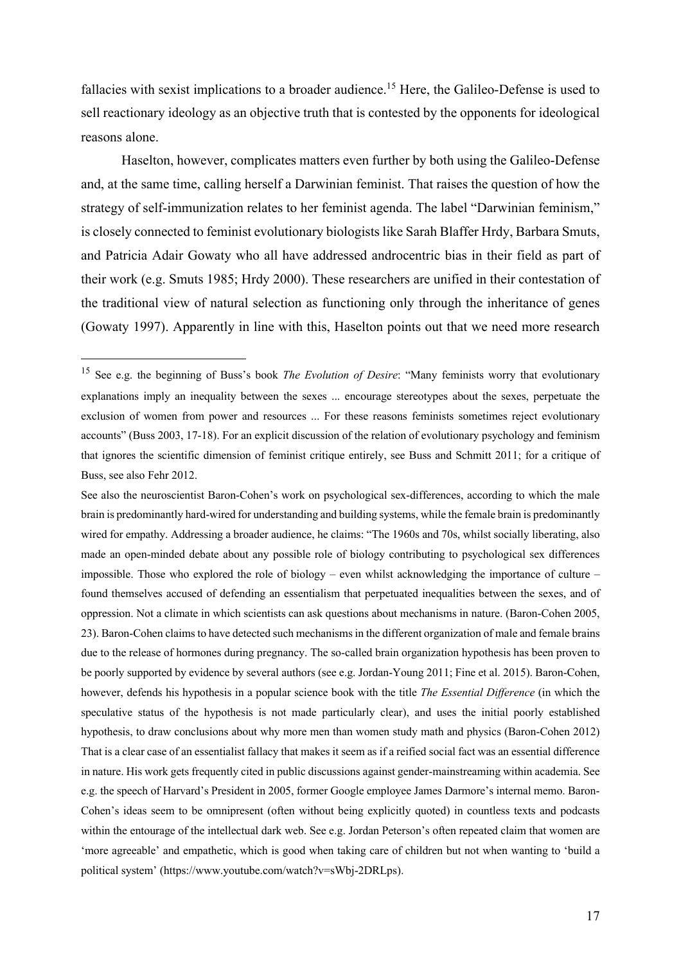fallacies with sexist implications to a broader audience.<sup>15</sup> Here, the Galileo-Defense is used to sell reactionary ideology as an objective truth that is contested by the opponents for ideological reasons alone.

Haselton, however, complicates matters even further by both using the Galileo-Defense and, at the same time, calling herself a Darwinian feminist. That raises the question of how the strategy of self-immunization relates to her feminist agenda. The label "Darwinian feminism," is closely connected to feminist evolutionary biologists like Sarah Blaffer Hrdy, Barbara Smuts, and Patricia Adair Gowaty who all have addressed androcentric bias in their field as part of their work (e.g. Smuts 1985; Hrdy 2000). These researchers are unified in their contestation of the traditional view of natural selection as functioning only through the inheritance of genes (Gowaty 1997). Apparently in line with this, Haselton points out that we need more research

See also the neuroscientist Baron-Cohen's work on psychological sex-differences, according to which the male brain is predominantly hard-wired for understanding and building systems, while the female brain is predominantly wired for empathy. Addressing a broader audience, he claims: "The 1960s and 70s, whilst socially liberating, also made an open-minded debate about any possible role of biology contributing to psychological sex differences impossible. Those who explored the role of biology – even whilst acknowledging the importance of culture – found themselves accused of defending an essentialism that perpetuated inequalities between the sexes, and of oppression. Not a climate in which scientists can ask questions about mechanisms in nature. (Baron-Cohen 2005, 23). Baron-Cohen claims to have detected such mechanisms in the different organization of male and female brains due to the release of hormones during pregnancy. The so-called brain organization hypothesis has been proven to be poorly supported by evidence by several authors (see e.g. Jordan-Young 2011; Fine et al. 2015). Baron-Cohen, however, defends his hypothesis in a popular science book with the title *The Essential Difference* (in which the speculative status of the hypothesis is not made particularly clear), and uses the initial poorly established hypothesis, to draw conclusions about why more men than women study math and physics (Baron-Cohen 2012) That is a clear case of an essentialist fallacy that makes it seem as if a reified social fact was an essential difference in nature. His work gets frequently cited in public discussions against gender-mainstreaming within academia. See e.g. the speech of Harvard's President in 2005, former Google employee James Darmore's internal memo. Baron-Cohen's ideas seem to be omnipresent (often without being explicitly quoted) in countless texts and podcasts within the entourage of the intellectual dark web. See e.g. Jordan Peterson's often repeated claim that women are 'more agreeable' and empathetic, which is good when taking care of children but not when wanting to 'build a political system' (https://www.youtube.com/watch?v=sWbj-2DRLps).

<sup>15</sup> See e.g. the beginning of Buss's book *The Evolution of Desire*: "Many feminists worry that evolutionary explanations imply an inequality between the sexes ... encourage stereotypes about the sexes, perpetuate the exclusion of women from power and resources ... For these reasons feminists sometimes reject evolutionary accounts" (Buss 2003, 17-18). For an explicit discussion of the relation of evolutionary psychology and feminism that ignores the scientific dimension of feminist critique entirely, see Buss and Schmitt 2011; for a critique of Buss, see also Fehr 2012.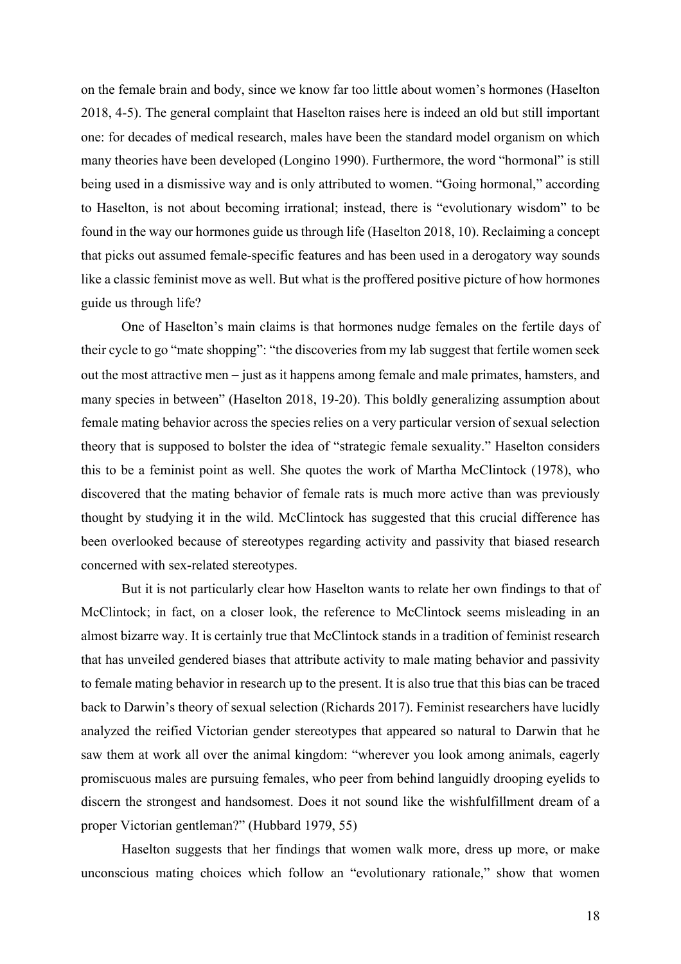on the female brain and body, since we know far too little about women's hormones (Haselton 2018, 4-5). The general complaint that Haselton raises here is indeed an old but still important one: for decades of medical research, males have been the standard model organism on which many theories have been developed (Longino 1990). Furthermore, the word "hormonal" is still being used in a dismissive way and is only attributed to women. "Going hormonal," according to Haselton, is not about becoming irrational; instead, there is "evolutionary wisdom" to be found in the way our hormones guide us through life (Haselton 2018, 10). Reclaiming a concept that picks out assumed female-specific features and has been used in a derogatory way sounds like a classic feminist move as well. But what is the proffered positive picture of how hormones guide us through life?

One of Haselton's main claims is that hormones nudge females on the fertile days of their cycle to go "mate shopping": "the discoveries from my lab suggest that fertile women seek out the most attractive men – just as it happens among female and male primates, hamsters, and many species in between" (Haselton 2018, 19-20). This boldly generalizing assumption about female mating behavior across the species relies on a very particular version of sexual selection theory that is supposed to bolster the idea of "strategic female sexuality." Haselton considers this to be a feminist point as well. She quotes the work of Martha McClintock (1978), who discovered that the mating behavior of female rats is much more active than was previously thought by studying it in the wild. McClintock has suggested that this crucial difference has been overlooked because of stereotypes regarding activity and passivity that biased research concerned with sex-related stereotypes.

But it is not particularly clear how Haselton wants to relate her own findings to that of McClintock; in fact, on a closer look, the reference to McClintock seems misleading in an almost bizarre way. It is certainly true that McClintock stands in a tradition of feminist research that has unveiled gendered biases that attribute activity to male mating behavior and passivity to female mating behavior in research up to the present. It is also true that this bias can be traced back to Darwin's theory of sexual selection (Richards 2017). Feminist researchers have lucidly analyzed the reified Victorian gender stereotypes that appeared so natural to Darwin that he saw them at work all over the animal kingdom: "wherever you look among animals, eagerly promiscuous males are pursuing females, who peer from behind languidly drooping eyelids to discern the strongest and handsomest. Does it not sound like the wishfulfillment dream of a proper Victorian gentleman?" (Hubbard 1979, 55)

Haselton suggests that her findings that women walk more, dress up more, or make unconscious mating choices which follow an "evolutionary rationale," show that women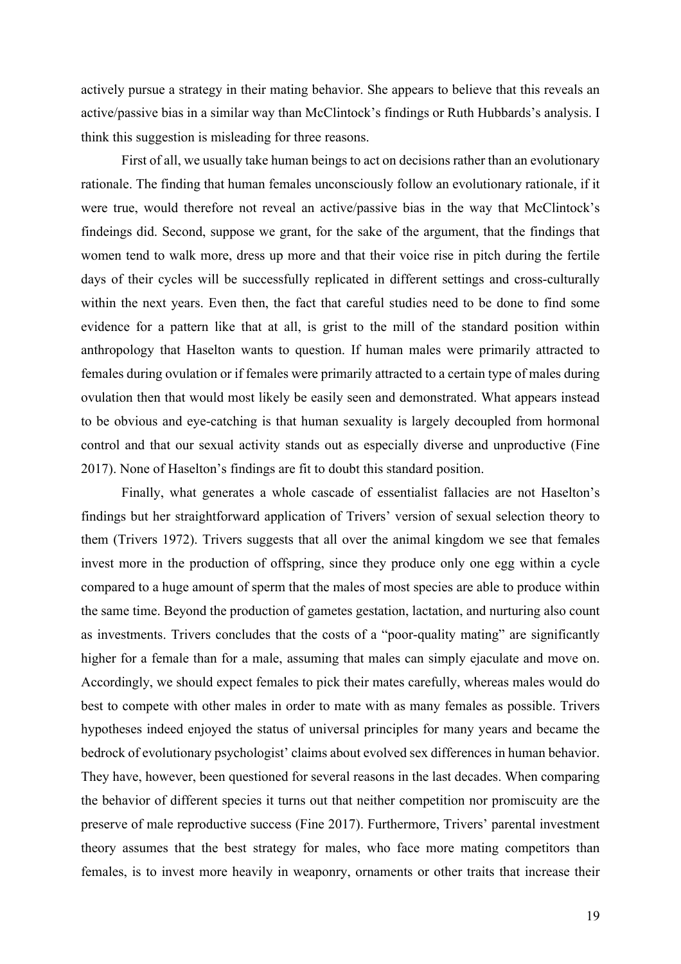actively pursue a strategy in their mating behavior. She appears to believe that this reveals an active/passive bias in a similar way than McClintock's findings or Ruth Hubbards's analysis. I think this suggestion is misleading for three reasons.

First of all, we usually take human beings to act on decisions rather than an evolutionary rationale. The finding that human females unconsciously follow an evolutionary rationale, if it were true, would therefore not reveal an active/passive bias in the way that McClintock's findeings did. Second, suppose we grant, for the sake of the argument, that the findings that women tend to walk more, dress up more and that their voice rise in pitch during the fertile days of their cycles will be successfully replicated in different settings and cross-culturally within the next years. Even then, the fact that careful studies need to be done to find some evidence for a pattern like that at all, is grist to the mill of the standard position within anthropology that Haselton wants to question. If human males were primarily attracted to females during ovulation or if females were primarily attracted to a certain type of males during ovulation then that would most likely be easily seen and demonstrated. What appears instead to be obvious and eye-catching is that human sexuality is largely decoupled from hormonal control and that our sexual activity stands out as especially diverse and unproductive (Fine 2017). None of Haselton's findings are fit to doubt this standard position.

Finally, what generates a whole cascade of essentialist fallacies are not Haselton's findings but her straightforward application of Trivers' version of sexual selection theory to them (Trivers 1972). Trivers suggests that all over the animal kingdom we see that females invest more in the production of offspring, since they produce only one egg within a cycle compared to a huge amount of sperm that the males of most species are able to produce within the same time. Beyond the production of gametes gestation, lactation, and nurturing also count as investments. Trivers concludes that the costs of a "poor-quality mating" are significantly higher for a female than for a male, assuming that males can simply ejaculate and move on. Accordingly, we should expect females to pick their mates carefully, whereas males would do best to compete with other males in order to mate with as many females as possible. Trivers hypotheses indeed enjoyed the status of universal principles for many years and became the bedrock of evolutionary psychologist' claims about evolved sex differences in human behavior. They have, however, been questioned for several reasons in the last decades. When comparing the behavior of different species it turns out that neither competition nor promiscuity are the preserve of male reproductive success (Fine 2017). Furthermore, Trivers' parental investment theory assumes that the best strategy for males, who face more mating competitors than females, is to invest more heavily in weaponry, ornaments or other traits that increase their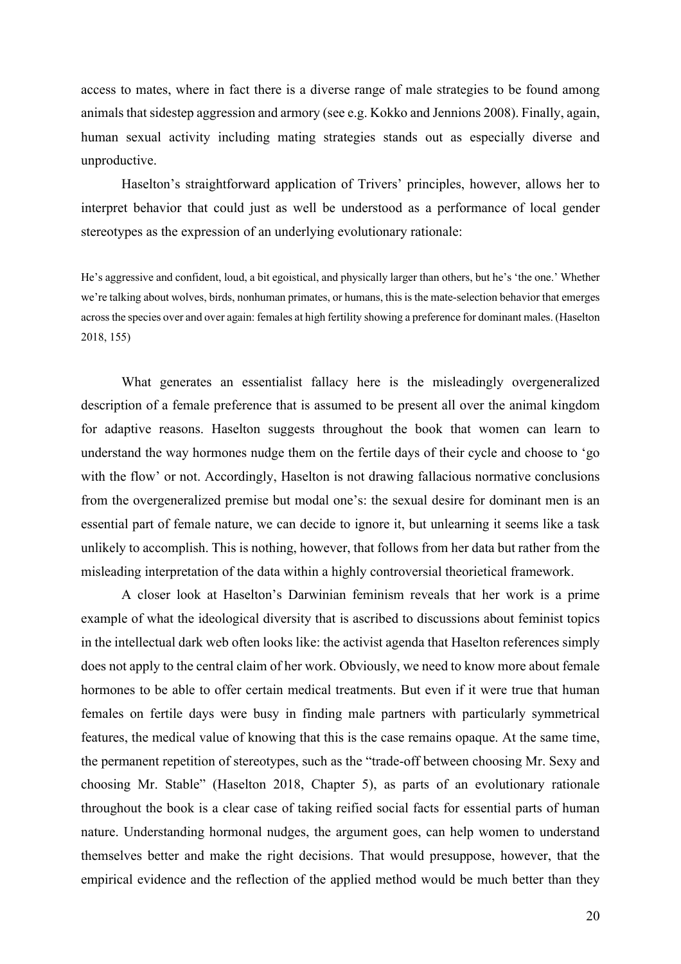access to mates, where in fact there is a diverse range of male strategies to be found among animals that sidestep aggression and armory (see e.g. Kokko and Jennions 2008). Finally, again, human sexual activity including mating strategies stands out as especially diverse and unproductive.

Haselton's straightforward application of Trivers' principles, however, allows her to interpret behavior that could just as well be understood as a performance of local gender stereotypes as the expression of an underlying evolutionary rationale:

He's aggressive and confident, loud, a bit egoistical, and physically larger than others, but he's 'the one.' Whether we're talking about wolves, birds, nonhuman primates, or humans, this is the mate-selection behavior that emerges across the species over and over again: females at high fertility showing a preference for dominant males. (Haselton 2018, 155)

What generates an essentialist fallacy here is the misleadingly overgeneralized description of a female preference that is assumed to be present all over the animal kingdom for adaptive reasons. Haselton suggests throughout the book that women can learn to understand the way hormones nudge them on the fertile days of their cycle and choose to 'go with the flow' or not. Accordingly, Haselton is not drawing fallacious normative conclusions from the overgeneralized premise but modal one's: the sexual desire for dominant men is an essential part of female nature, we can decide to ignore it, but unlearning it seems like a task unlikely to accomplish. This is nothing, however, that follows from her data but rather from the misleading interpretation of the data within a highly controversial theorietical framework.

A closer look at Haselton's Darwinian feminism reveals that her work is a prime example of what the ideological diversity that is ascribed to discussions about feminist topics in the intellectual dark web often looks like: the activist agenda that Haselton references simply does not apply to the central claim of her work. Obviously, we need to know more about female hormones to be able to offer certain medical treatments. But even if it were true that human females on fertile days were busy in finding male partners with particularly symmetrical features, the medical value of knowing that this is the case remains opaque. At the same time, the permanent repetition of stereotypes, such as the "trade-off between choosing Mr. Sexy and choosing Mr. Stable" (Haselton 2018, Chapter 5), as parts of an evolutionary rationale throughout the book is a clear case of taking reified social facts for essential parts of human nature. Understanding hormonal nudges, the argument goes, can help women to understand themselves better and make the right decisions. That would presuppose, however, that the empirical evidence and the reflection of the applied method would be much better than they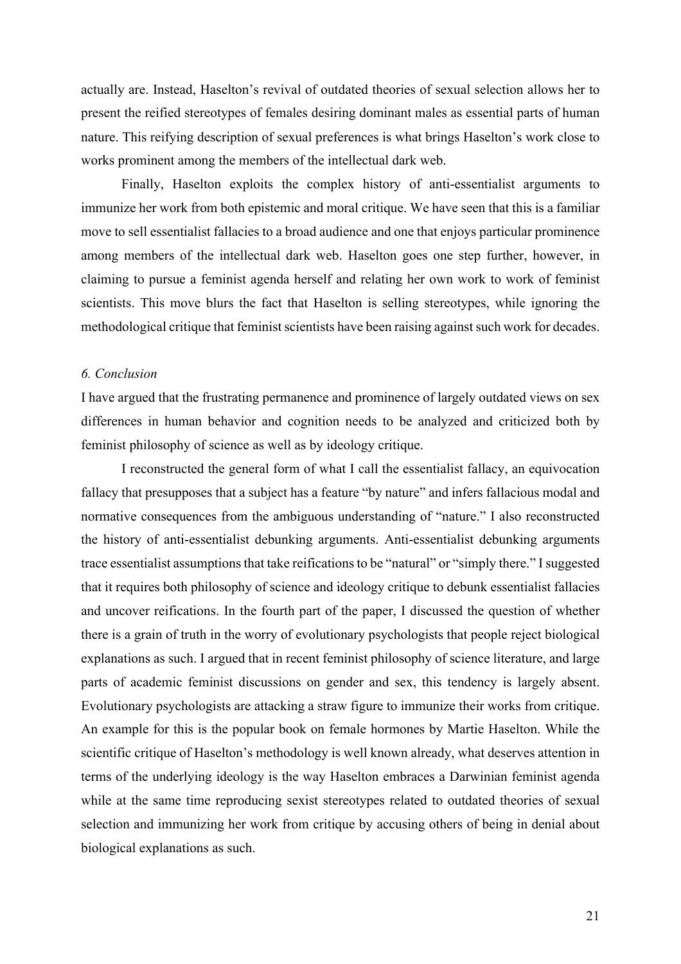actually are. Instead, Haselton's revival of outdated theories of sexual selection allows her to present the reified stereotypes of females desiring dominant males as essential parts of human nature. This reifying description of sexual preferences is what brings Haselton's work close to works prominent among the members of the intellectual dark web.

Finally, Haselton exploits the complex history of anti-essentialist arguments to immunize her work from both epistemic and moral critique. We have seen that this is a familiar move to sell essentialist fallacies to a broad audience and one that enjoys particular prominence among members of the intellectual dark web. Haselton goes one step further, however, in claiming to pursue a feminist agenda herself and relating her own work to work of feminist scientists. This move blurs the fact that Haselton is selling stereotypes, while ignoring the methodological critique that feminist scientists have been raising against such work for decades.

# *6. Conclusion*

I have argued that the frustrating permanence and prominence of largely outdated views on sex differences in human behavior and cognition needs to be analyzed and criticized both by feminist philosophy of science as well as by ideology critique.

I reconstructed the general form of what I call the essentialist fallacy, an equivocation fallacy that presupposes that a subject has a feature "by nature" and infers fallacious modal and normative consequences from the ambiguous understanding of "nature." I also reconstructed the history of anti-essentialist debunking arguments. Anti-essentialist debunking arguments trace essentialist assumptions that take reifications to be "natural" or "simply there." I suggested that it requires both philosophy of science and ideology critique to debunk essentialist fallacies and uncover reifications. In the fourth part of the paper, I discussed the question of whether there is a grain of truth in the worry of evolutionary psychologists that people reject biological explanations as such. I argued that in recent feminist philosophy of science literature, and large parts of academic feminist discussions on gender and sex, this tendency is largely absent. Evolutionary psychologists are attacking a straw figure to immunize their works from critique. An example for this is the popular book on female hormones by Martie Haselton. While the scientific critique of Haselton's methodology is well known already, what deserves attention in terms of the underlying ideology is the way Haselton embraces a Darwinian feminist agenda while at the same time reproducing sexist stereotypes related to outdated theories of sexual selection and immunizing her work from critique by accusing others of being in denial about biological explanations as such.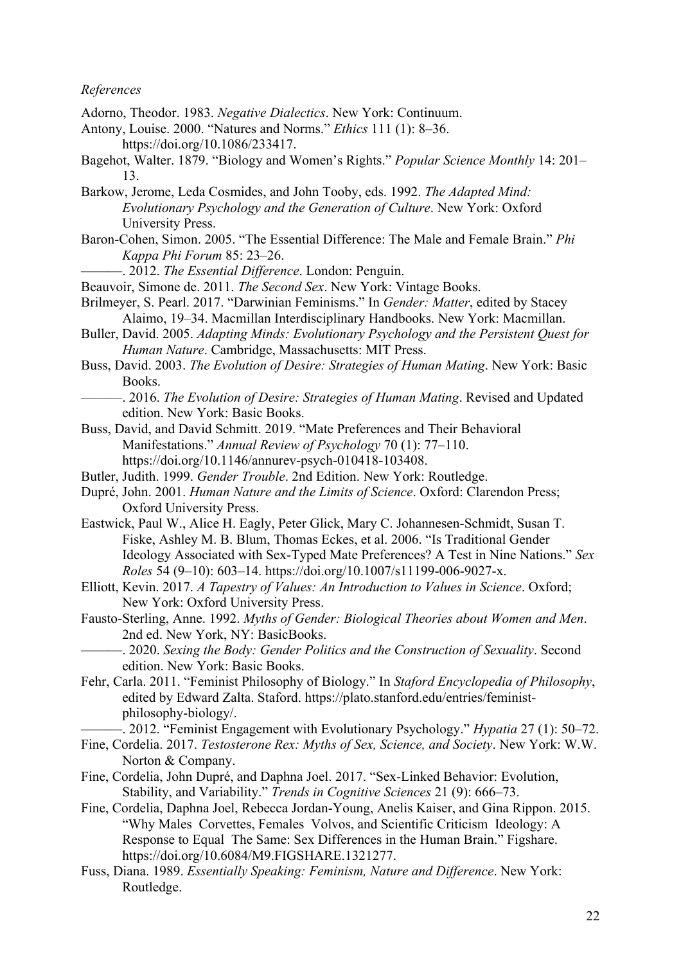#### *References*

- Adorno, Theodor. 1983. *Negative Dialectics*. New York: Continuum.
- Antony, Louise. 2000. "Natures and Norms." *Ethics* 111 (1): 8–36. https://doi.org/10.1086/233417.
- Bagehot, Walter. 1879. "Biology and Women's Rights." *Popular Science Monthly* 14: 201– 13.
- Barkow, Jerome, Leda Cosmides, and John Tooby, eds. 1992. *The Adapted Mind: Evolutionary Psychology and the Generation of Culture*. New York: Oxford University Press.
- Baron-Cohen, Simon. 2005. "The Essential Difference: The Male and Female Brain." *Phi Kappa Phi Forum* 85: 23–26.
	- ———. 2012. *The Essential Difference*. London: Penguin.
- Beauvoir, Simone de. 2011. *The Second Sex*. New York: Vintage Books.
- Brilmeyer, S. Pearl. 2017. "Darwinian Feminisms." In *Gender: Matter*, edited by Stacey Alaimo, 19–34. Macmillan Interdisciplinary Handbooks. New York: Macmillan.
- Buller, David. 2005. *Adapting Minds: Evolutionary Psychology and the Persistent Quest for Human Nature*. Cambridge, Massachusetts: MIT Press.
- Buss, David. 2003. *The Evolution of Desire: Strategies of Human Mating*. New York: Basic Books.
	- ———. 2016. *The Evolution of Desire: Strategies of Human Mating*. Revised and Updated edition. New York: Basic Books.
- Buss, David, and David Schmitt. 2019. "Mate Preferences and Their Behavioral Manifestations." *Annual Review of Psychology* 70 (1): 77–110. https://doi.org/10.1146/annurev-psych-010418-103408.
- Butler, Judith. 1999. *Gender Trouble*. 2nd Edition. New York: Routledge.
- Dupré, John. 2001. *Human Nature and the Limits of Science*. Oxford: Clarendon Press; Oxford University Press.
- Eastwick, Paul W., Alice H. Eagly, Peter Glick, Mary C. Johannesen-Schmidt, Susan T. Fiske, Ashley M. B. Blum, Thomas Eckes, et al. 2006. "Is Traditional Gender Ideology Associated with Sex-Typed Mate Preferences? A Test in Nine Nations." *Sex Roles* 54 (9–10): 603–14. https://doi.org/10.1007/s11199-006-9027-x.
- Elliott, Kevin. 2017. *A Tapestry of Values: An Introduction to Values in Science*. Oxford; New York: Oxford University Press.
- Fausto-Sterling, Anne. 1992. *Myths of Gender: Biological Theories about Women and Men*. 2nd ed. New York, NY: BasicBooks.
	- ———. 2020. *Sexing the Body: Gender Politics and the Construction of Sexuality*. Second edition. New York: Basic Books.
- Fehr, Carla. 2011. "Feminist Philosophy of Biology." In *Staford Encyclopedia of Philosophy*, edited by Edward Zalta. Staford. https://plato.stanford.edu/entries/feministphilosophy-biology/.

———. 2012. "Feminist Engagement with Evolutionary Psychology." *Hypatia* 27 (1): 50–72.

- Fine, Cordelia. 2017. *Testosterone Rex: Myths of Sex, Science, and Society*. New York: W.W. Norton & Company.
- Fine, Cordelia, John Dupré, and Daphna Joel. 2017. "Sex-Linked Behavior: Evolution, Stability, and Variability." *Trends in Cognitive Sciences* 21 (9): 666–73.
- Fine, Cordelia, Daphna Joel, Rebecca Jordan-Young, Anelis Kaiser, and Gina Rippon. 2015. "Why Males Corvettes, Females Volvos, and Scientific Criticism Ideology: A Response to Equal The Same: Sex Differences in the Human Brain." Figshare. https://doi.org/10.6084/M9.FIGSHARE.1321277.
- Fuss, Diana. 1989. *Essentially Speaking: Feminism, Nature and Difference*. New York: Routledge.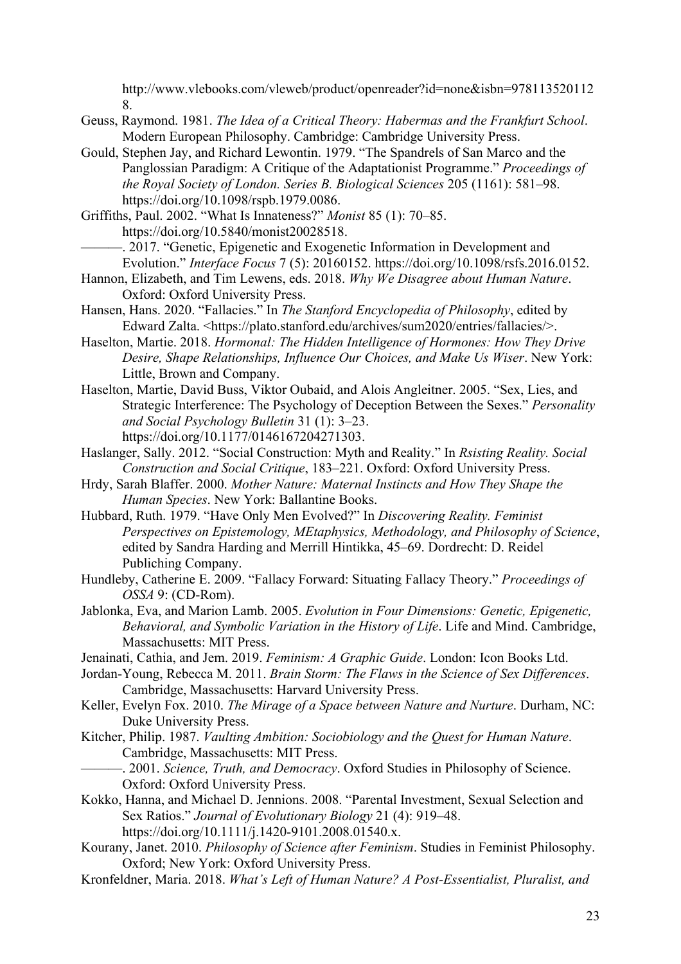http://www.vlebooks.com/vleweb/product/openreader?id=none&isbn=978113520112 8.

- Geuss, Raymond. 1981. *The Idea of a Critical Theory: Habermas and the Frankfurt School*. Modern European Philosophy. Cambridge: Cambridge University Press.
- Gould, Stephen Jay, and Richard Lewontin. 1979. "The Spandrels of San Marco and the Panglossian Paradigm: A Critique of the Adaptationist Programme." *Proceedings of the Royal Society of London. Series B. Biological Sciences* 205 (1161): 581–98. https://doi.org/10.1098/rspb.1979.0086.
- Griffiths, Paul. 2002. "What Is Innateness?" *Monist* 85 (1): 70–85. https://doi.org/10.5840/monist20028518.
	- ———. 2017. "Genetic, Epigenetic and Exogenetic Information in Development and Evolution." *Interface Focus* 7 (5): 20160152. https://doi.org/10.1098/rsfs.2016.0152.
- Hannon, Elizabeth, and Tim Lewens, eds. 2018. *Why We Disagree about Human Nature*. Oxford: Oxford University Press.
- Hansen, Hans. 2020. "Fallacies." In *The Stanford Encyclopedia of Philosophy*, edited by Edward Zalta. <https://plato.stanford.edu/archives/sum2020/entries/fallacies/>.
- Haselton, Martie. 2018. *Hormonal: The Hidden Intelligence of Hormones: How They Drive Desire, Shape Relationships, Influence Our Choices, and Make Us Wiser*. New York: Little, Brown and Company.
- Haselton, Martie, David Buss, Viktor Oubaid, and Alois Angleitner. 2005. "Sex, Lies, and Strategic Interference: The Psychology of Deception Between the Sexes." *Personality and Social Psychology Bulletin* 31 (1): 3–23. https://doi.org/10.1177/0146167204271303.
- Haslanger, Sally. 2012. "Social Construction: Myth and Reality." In *Rsisting Reality. Social Construction and Social Critique*, 183–221. Oxford: Oxford University Press.
- Hrdy, Sarah Blaffer. 2000. *Mother Nature: Maternal Instincts and How They Shape the Human Species*. New York: Ballantine Books.
- Hubbard, Ruth. 1979. "Have Only Men Evolved?" In *Discovering Reality. Feminist Perspectives on Epistemology, MEtaphysics, Methodology, and Philosophy of Science*, edited by Sandra Harding and Merrill Hintikka, 45–69. Dordrecht: D. Reidel Publiching Company.
- Hundleby, Catherine E. 2009. "Fallacy Forward: Situating Fallacy Theory." *Proceedings of OSSA* 9: (CD-Rom).
- Jablonka, Eva, and Marion Lamb. 2005. *Evolution in Four Dimensions: Genetic, Epigenetic, Behavioral, and Symbolic Variation in the History of Life*. Life and Mind. Cambridge, Massachusetts: MIT Press.
- Jenainati, Cathia, and Jem. 2019. *Feminism: A Graphic Guide*. London: Icon Books Ltd.

Jordan-Young, Rebecca M. 2011. *Brain Storm: The Flaws in the Science of Sex Differences*. Cambridge, Massachusetts: Harvard University Press.

- Keller, Evelyn Fox. 2010. *The Mirage of a Space between Nature and Nurture*. Durham, NC: Duke University Press.
- Kitcher, Philip. 1987. *Vaulting Ambition: Sociobiology and the Quest for Human Nature*. Cambridge, Massachusetts: MIT Press.
- ———. 2001. *Science, Truth, and Democracy*. Oxford Studies in Philosophy of Science. Oxford: Oxford University Press.
- Kokko, Hanna, and Michael D. Jennions. 2008. "Parental Investment, Sexual Selection and Sex Ratios." *Journal of Evolutionary Biology* 21 (4): 919–48. https://doi.org/10.1111/j.1420-9101.2008.01540.x.
- Kourany, Janet. 2010. *Philosophy of Science after Feminism*. Studies in Feminist Philosophy. Oxford; New York: Oxford University Press.
- Kronfeldner, Maria. 2018. *What's Left of Human Nature? A Post-Essentialist, Pluralist, and*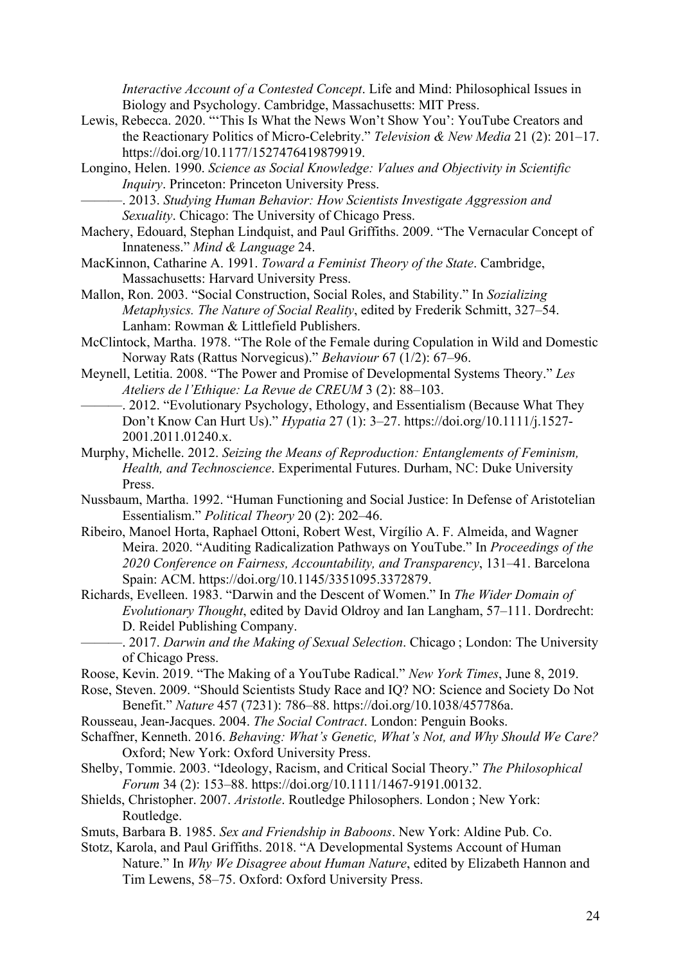*Interactive Account of a Contested Concept*. Life and Mind: Philosophical Issues in Biology and Psychology. Cambridge, Massachusetts: MIT Press.

- Lewis, Rebecca. 2020. "'This Is What the News Won't Show You': YouTube Creators and the Reactionary Politics of Micro-Celebrity." *Television & New Media* 21 (2): 201–17. https://doi.org/10.1177/1527476419879919.
- Longino, Helen. 1990. *Science as Social Knowledge: Values and Objectivity in Scientific Inquiry*. Princeton: Princeton University Press.
	- ———. 2013. *Studying Human Behavior: How Scientists Investigate Aggression and Sexuality*. Chicago: The University of Chicago Press.
- Machery, Edouard, Stephan Lindquist, and Paul Griffiths. 2009. "The Vernacular Concept of Innateness." *Mind & Language* 24.
- MacKinnon, Catharine A. 1991. *Toward a Feminist Theory of the State*. Cambridge, Massachusetts: Harvard University Press.
- Mallon, Ron. 2003. "Social Construction, Social Roles, and Stability." In *Sozializing Metaphysics. The Nature of Social Reality*, edited by Frederik Schmitt, 327–54. Lanham: Rowman & Littlefield Publishers.
- McClintock, Martha. 1978. "The Role of the Female during Copulation in Wild and Domestic Norway Rats (Rattus Norvegicus)." *Behaviour* 67 (1/2): 67–96.
- Meynell, Letitia. 2008. "The Power and Promise of Developmental Systems Theory." *Les Ateliers de l'Ethique: La Revue de CREUM* 3 (2): 88–103.
- -. 2012. "Evolutionary Psychology, Ethology, and Essentialism (Because What They Don't Know Can Hurt Us)." *Hypatia* 27 (1): 3–27. https://doi.org/10.1111/j.1527- 2001.2011.01240.x.
- Murphy, Michelle. 2012. *Seizing the Means of Reproduction: Entanglements of Feminism, Health, and Technoscience*. Experimental Futures. Durham, NC: Duke University Press.
- Nussbaum, Martha. 1992. "Human Functioning and Social Justice: In Defense of Aristotelian Essentialism." *Political Theory* 20 (2): 202–46.
- Ribeiro, Manoel Horta, Raphael Ottoni, Robert West, Virgílio A. F. Almeida, and Wagner Meira. 2020. "Auditing Radicalization Pathways on YouTube." In *Proceedings of the 2020 Conference on Fairness, Accountability, and Transparency*, 131–41. Barcelona Spain: ACM. https://doi.org/10.1145/3351095.3372879.
- Richards, Evelleen. 1983. "Darwin and the Descent of Women." In *The Wider Domain of Evolutionary Thought*, edited by David Oldroy and Ian Langham, 57–111. Dordrecht: D. Reidel Publishing Company.
- ———. 2017. *Darwin and the Making of Sexual Selection*. Chicago ; London: The University of Chicago Press.
- Roose, Kevin. 2019. "The Making of a YouTube Radical." *New York Times*, June 8, 2019.

Rose, Steven. 2009. "Should Scientists Study Race and IQ? NO: Science and Society Do Not Benefit." *Nature* 457 (7231): 786–88. https://doi.org/10.1038/457786a.

- Rousseau, Jean-Jacques. 2004. *The Social Contract*. London: Penguin Books.
- Schaffner, Kenneth. 2016. *Behaving: What's Genetic, What's Not, and Why Should We Care?* Oxford; New York: Oxford University Press.
- Shelby, Tommie. 2003. "Ideology, Racism, and Critical Social Theory." *The Philosophical Forum* 34 (2): 153–88. https://doi.org/10.1111/1467-9191.00132.
- Shields, Christopher. 2007. *Aristotle*. Routledge Philosophers. London ; New York: Routledge.
- Smuts, Barbara B. 1985. *Sex and Friendship in Baboons*. New York: Aldine Pub. Co.
- Stotz, Karola, and Paul Griffiths. 2018. "A Developmental Systems Account of Human Nature." In *Why We Disagree about Human Nature*, edited by Elizabeth Hannon and Tim Lewens, 58–75. Oxford: Oxford University Press.